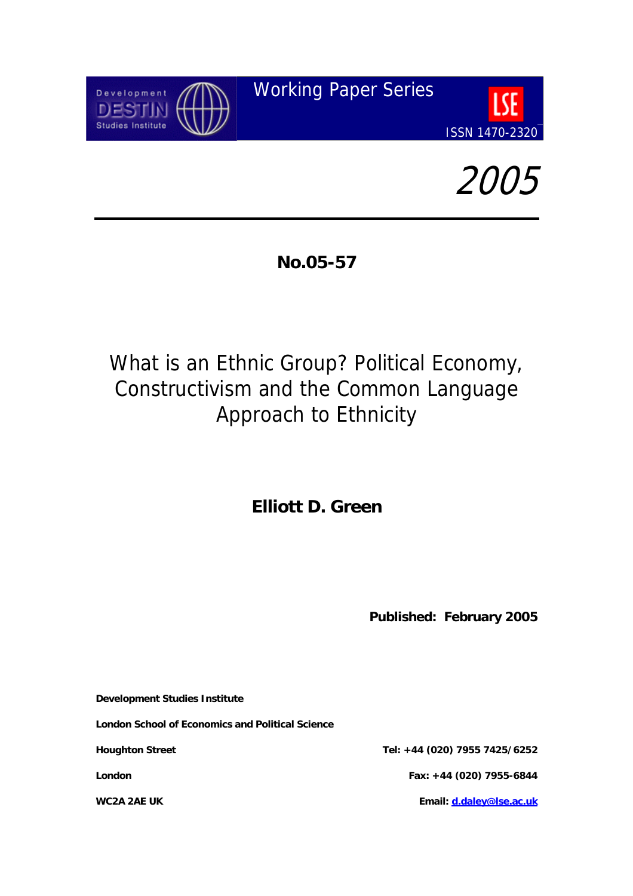



**No.05-57** 

# What is an Ethnic Group? Political Economy, Constructivism and the Common Language Approach to Ethnicity

**Elliott D. Green** 

**Published: February 2005** 

**Development Studies Institute** 

**London School of Economics and Political Science** 

**Houghton Street Tel: +44 (020) 7955 7425/6252 London Fax: +44 (020) 7955-6844 WC2A 2AE UK Email: [d.daley@lse.ac.uk](mailto:d.daley@lse.ac.uk)**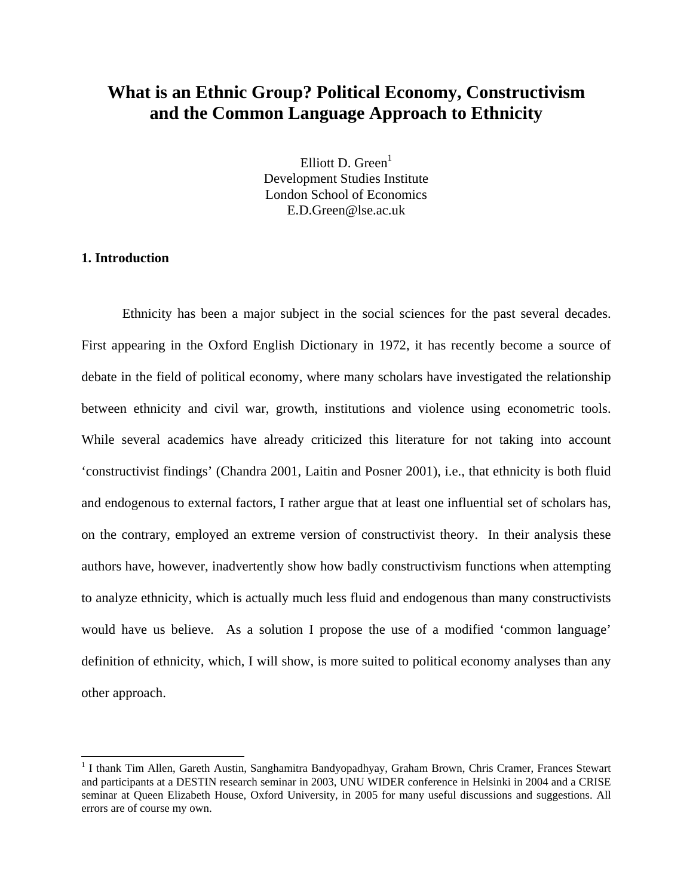# **What is an Ethnic Group? Political Economy, Constructivism and the Common Language Approach to Ethnicity**

Elliott D. Green $<sup>1</sup>$ </sup> Development Studies Institute London School of Economics E.D.Green@lse.ac.uk

# **1. Introduction**

 $\overline{a}$ 

 Ethnicity has been a major subject in the social sciences for the past several decades. First appearing in the Oxford English Dictionary in 1972, it has recently become a source of debate in the field of political economy, where many scholars have investigated the relationship between ethnicity and civil war, growth, institutions and violence using econometric tools. While several academics have already criticized this literature for not taking into account 'constructivist findings' (Chandra 2001, Laitin and Posner 2001), i.e., that ethnicity is both fluid and endogenous to external factors, I rather argue that at least one influential set of scholars has, on the contrary, employed an extreme version of constructivist theory. In their analysis these authors have, however, inadvertently show how badly constructivism functions when attempting to analyze ethnicity, which is actually much less fluid and endogenous than many constructivists would have us believe. As a solution I propose the use of a modified 'common language' definition of ethnicity, which, I will show, is more suited to political economy analyses than any other approach.

<span id="page-1-0"></span><sup>&</sup>lt;sup>1</sup> I thank Tim Allen, Gareth Austin, Sanghamitra Bandyopadhyay, Graham Brown, Chris Cramer, Frances Stewart and participants at a DESTIN research seminar in 2003, UNU WIDER conference in Helsinki in 2004 and a CRISE seminar at Queen Elizabeth House, Oxford University, in 2005 for many useful discussions and suggestions. All errors are of course my own.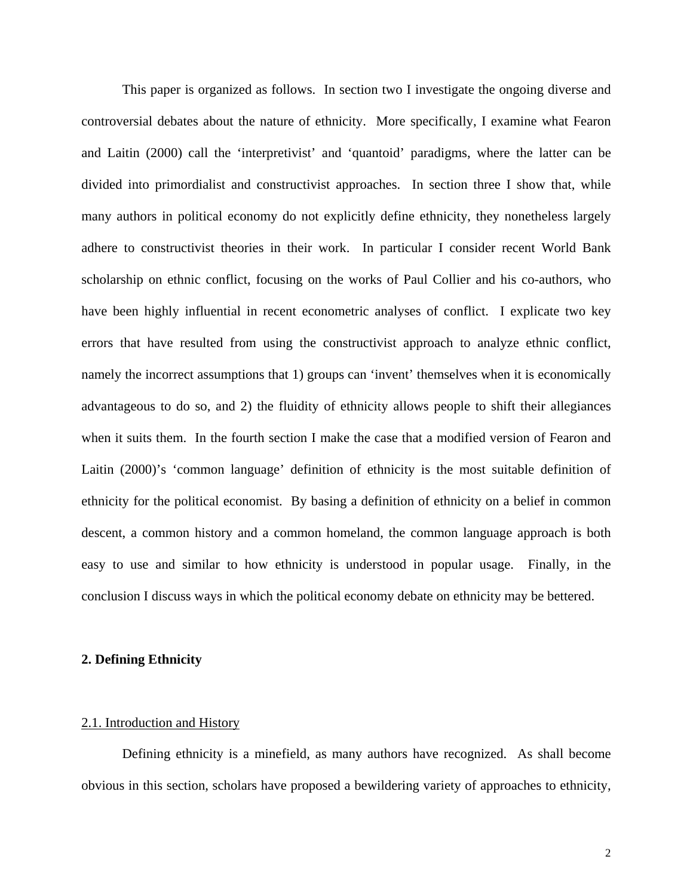This paper is organized as follows. In section two I investigate the ongoing diverse and controversial debates about the nature of ethnicity. More specifically, I examine what Fearon and Laitin (2000) call the 'interpretivist' and 'quantoid' paradigms, where the latter can be divided into primordialist and constructivist approaches. In section three I show that, while many authors in political economy do not explicitly define ethnicity, they nonetheless largely adhere to constructivist theories in their work. In particular I consider recent World Bank scholarship on ethnic conflict, focusing on the works of Paul Collier and his co-authors, who have been highly influential in recent econometric analyses of conflict. I explicate two key errors that have resulted from using the constructivist approach to analyze ethnic conflict, namely the incorrect assumptions that 1) groups can 'invent' themselves when it is economically advantageous to do so, and 2) the fluidity of ethnicity allows people to shift their allegiances when it suits them. In the fourth section I make the case that a modified version of Fearon and Laitin (2000)'s 'common language' definition of ethnicity is the most suitable definition of ethnicity for the political economist. By basing a definition of ethnicity on a belief in common descent, a common history and a common homeland, the common language approach is both easy to use and similar to how ethnicity is understood in popular usage. Finally, in the conclusion I discuss ways in which the political economy debate on ethnicity may be bettered.

# **2. Defining Ethnicity**

#### 2.1. Introduction and History

Defining ethnicity is a minefield, as many authors have recognized. As shall become obvious in this section, scholars have proposed a bewildering variety of approaches to ethnicity,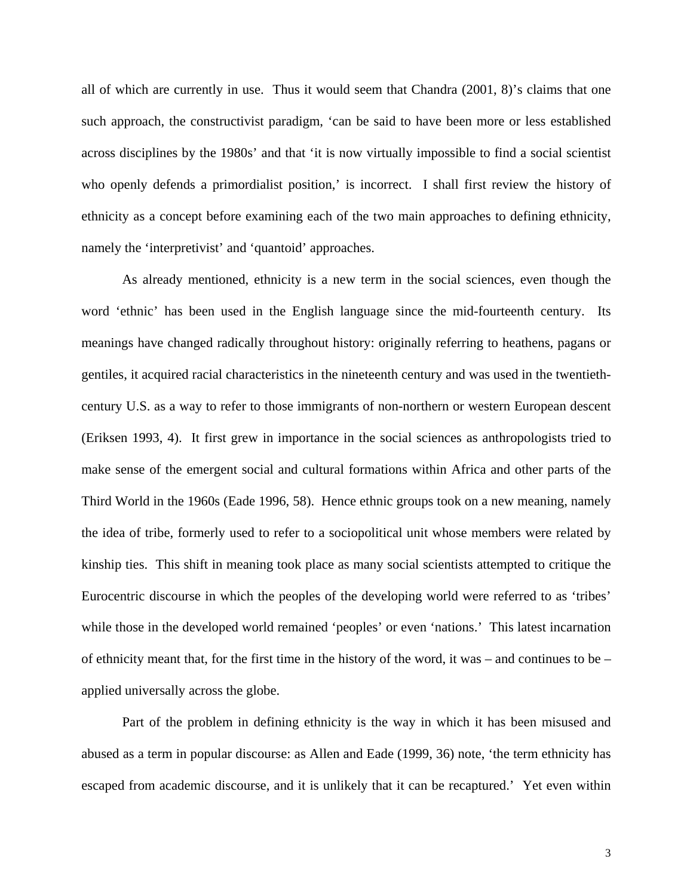all of which are currently in use. Thus it would seem that Chandra (2001, 8)'s claims that one such approach, the constructivist paradigm, 'can be said to have been more or less established across disciplines by the 1980s' and that 'it is now virtually impossible to find a social scientist who openly defends a primordialist position,' is incorrect. I shall first review the history of ethnicity as a concept before examining each of the two main approaches to defining ethnicity, namely the 'interpretivist' and 'quantoid' approaches.

As already mentioned, ethnicity is a new term in the social sciences, even though the word 'ethnic' has been used in the English language since the mid-fourteenth century. Its meanings have changed radically throughout history: originally referring to heathens, pagans or gentiles, it acquired racial characteristics in the nineteenth century and was used in the twentiethcentury U.S. as a way to refer to those immigrants of non-northern or western European descent (Eriksen 1993, 4). It first grew in importance in the social sciences as anthropologists tried to make sense of the emergent social and cultural formations within Africa and other parts of the Third World in the 1960s (Eade 1996, 58). Hence ethnic groups took on a new meaning, namely the idea of tribe, formerly used to refer to a sociopolitical unit whose members were related by kinship ties. This shift in meaning took place as many social scientists attempted to critique the Eurocentric discourse in which the peoples of the developing world were referred to as 'tribes' while those in the developed world remained 'peoples' or even 'nations.' This latest incarnation of ethnicity meant that, for the first time in the history of the word, it was – and continues to be – applied universally across the globe.

Part of the problem in defining ethnicity is the way in which it has been misused and abused as a term in popular discourse: as Allen and Eade (1999, 36) note, 'the term ethnicity has escaped from academic discourse, and it is unlikely that it can be recaptured.' Yet even within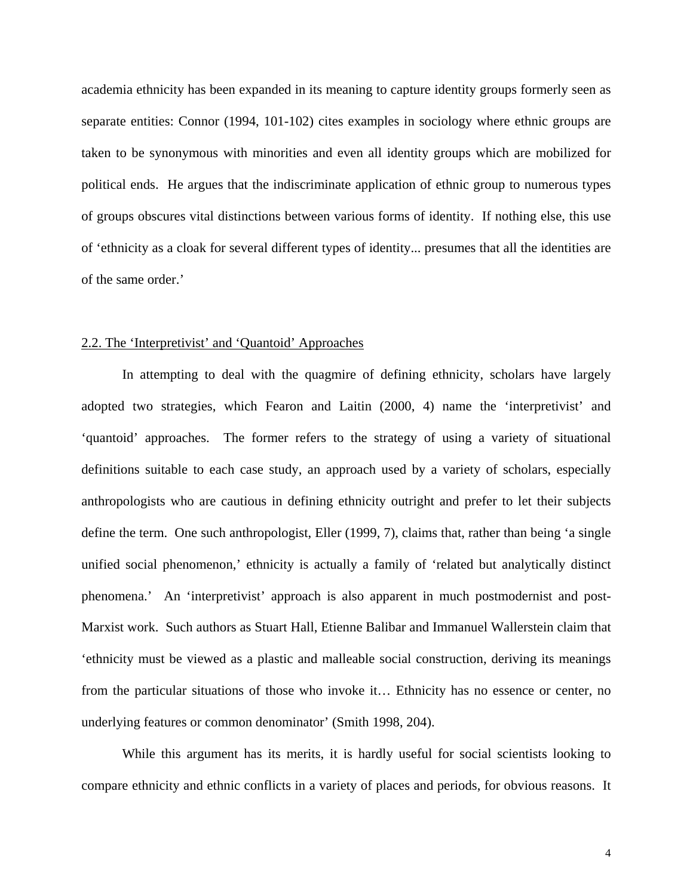academia ethnicity has been expanded in its meaning to capture identity groups formerly seen as separate entities: Connor (1994, 101-102) cites examples in sociology where ethnic groups are taken to be synonymous with minorities and even all identity groups which are mobilized for political ends. He argues that the indiscriminate application of ethnic group to numerous types of groups obscures vital distinctions between various forms of identity. If nothing else, this use of 'ethnicity as a cloak for several different types of identity... presumes that all the identities are of the same order.'

#### 2.2. The 'Interpretivist' and 'Quantoid' Approaches

In attempting to deal with the quagmire of defining ethnicity, scholars have largely adopted two strategies, which Fearon and Laitin (2000, 4) name the 'interpretivist' and 'quantoid' approaches. The former refers to the strategy of using a variety of situational definitions suitable to each case study, an approach used by a variety of scholars, especially anthropologists who are cautious in defining ethnicity outright and prefer to let their subjects define the term. One such anthropologist, Eller (1999, 7), claims that, rather than being 'a single unified social phenomenon,' ethnicity is actually a family of 'related but analytically distinct phenomena.' An 'interpretivist' approach is also apparent in much postmodernist and post-Marxist work. Such authors as Stuart Hall, Etienne Balibar and Immanuel Wallerstein claim that 'ethnicity must be viewed as a plastic and malleable social construction, deriving its meanings from the particular situations of those who invoke it… Ethnicity has no essence or center, no underlying features or common denominator' (Smith 1998, 204).

While this argument has its merits, it is hardly useful for social scientists looking to compare ethnicity and ethnic conflicts in a variety of places and periods, for obvious reasons. It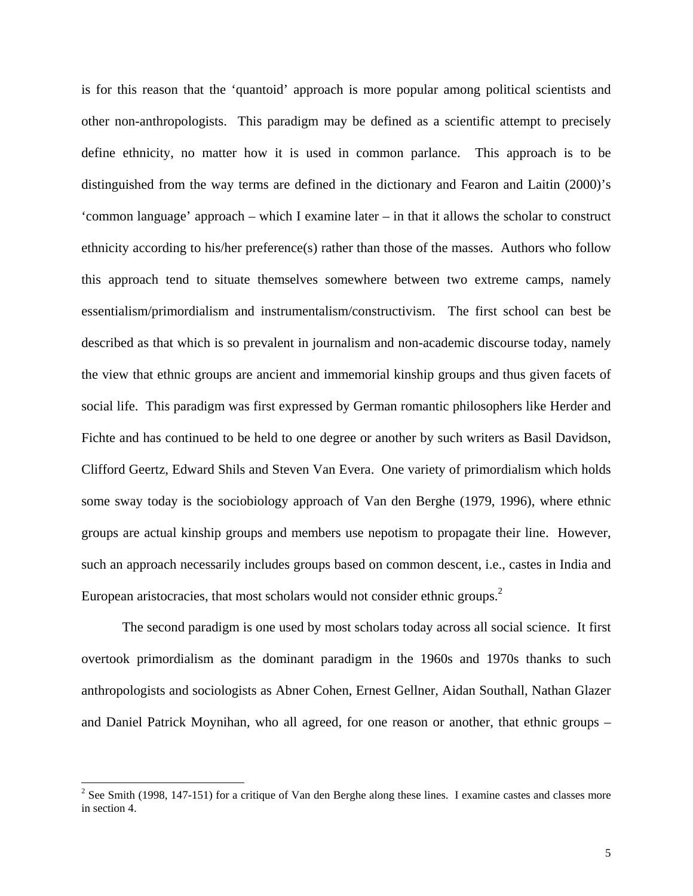is for this reason that the 'quantoid' approach is more popular among political scientists and other non-anthropologists. This paradigm may be defined as a scientific attempt to precisely define ethnicity, no matter how it is used in common parlance. This approach is to be distinguished from the way terms are defined in the dictionary and Fearon and Laitin (2000)'s 'common language' approach – which I examine later – in that it allows the scholar to construct ethnicity according to his/her preference(s) rather than those of the masses. Authors who follow this approach tend to situate themselves somewhere between two extreme camps, namely essentialism/primordialism and instrumentalism/constructivism. The first school can best be described as that which is so prevalent in journalism and non-academic discourse today, namely the view that ethnic groups are ancient and immemorial kinship groups and thus given facets of social life. This paradigm was first expressed by German romantic philosophers like Herder and Fichte and has continued to be held to one degree or another by such writers as Basil Davidson, Clifford Geertz, Edward Shils and Steven Van Evera. One variety of primordialism which holds some sway today is the sociobiology approach of Van den Berghe (1979, 1996), where ethnic groups are actual kinship groups and members use nepotism to propagate their line. However, such an approach necessarily includes groups based on common descent, i.e., castes in India and European aristocracies, that most scholars would not consider ethnic groups.<sup>[2](#page-5-0)</sup>

The second paradigm is one used by most scholars today across all social science. It first overtook primordialism as the dominant paradigm in the 1960s and 1970s thanks to such anthropologists and sociologists as Abner Cohen, Ernest Gellner, Aidan Southall, Nathan Glazer and Daniel Patrick Moynihan, who all agreed, for one reason or another, that ethnic groups –

<span id="page-5-0"></span><sup>&</sup>lt;sup>2</sup> <sup>2</sup> See Smith (1998, 147-151) for a critique of Van den Berghe along these lines. I examine castes and classes more in section 4.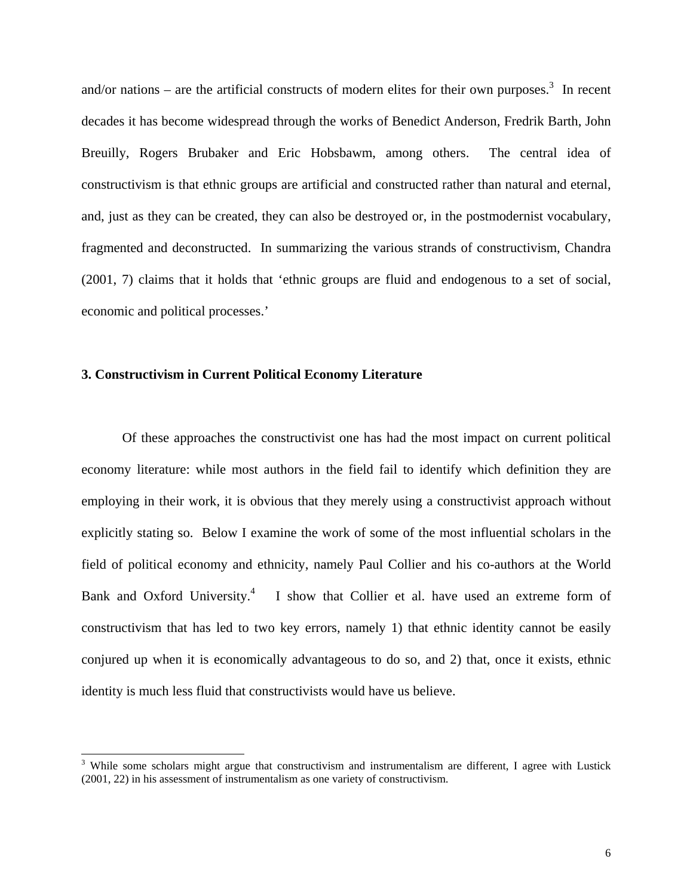and/or nations – are the artificial constructs of modern elites for their own purposes.<sup>3</sup> In recent decades it has become widespread through the works of Benedict Anderson, Fredrik Barth, John Breuilly, Rogers Brubaker and Eric Hobsbawm, among others. The central idea of constructivism is that ethnic groups are artificial and constructed rather than natural and eternal, and, just as they can be created, they can also be destroyed or, in the postmodernist vocabulary, fragmented and deconstructed. In summarizing the various strands of constructivism, Chandra (2001, 7) claims that it holds that 'ethnic groups are fluid and endogenous to a set of social, economic and political processes.'

#### **3. Constructivism in Current Political Economy Literature**

Of these approaches the constructivist one has had the most impact on current political economy literature: while most authors in the field fail to identify which definition they are employing in their work, it is obvious that they merely using a constructivist approach without explicitly stating so. Below I examine the work of some of the most influential scholars in the field of political economy and ethnicity, namely Paul Collier and his co-authors at the World Bank and Oxford University.<sup>[4](#page-6-1)</sup> I show that Collier et al. have used an extreme form of constructivism that has led to two key errors, namely 1) that ethnic identity cannot be easily conjured up when it is economically advantageous to do so, and 2) that, once it exists, ethnic identity is much less fluid that constructivists would have us believe.

<span id="page-6-1"></span><span id="page-6-0"></span> <sup>3</sup> <sup>3</sup> While some scholars might argue that constructivism and instrumentalism are different, I agree with Lustick (2001, 22) in his assessment of instrumentalism as one variety of constructivism.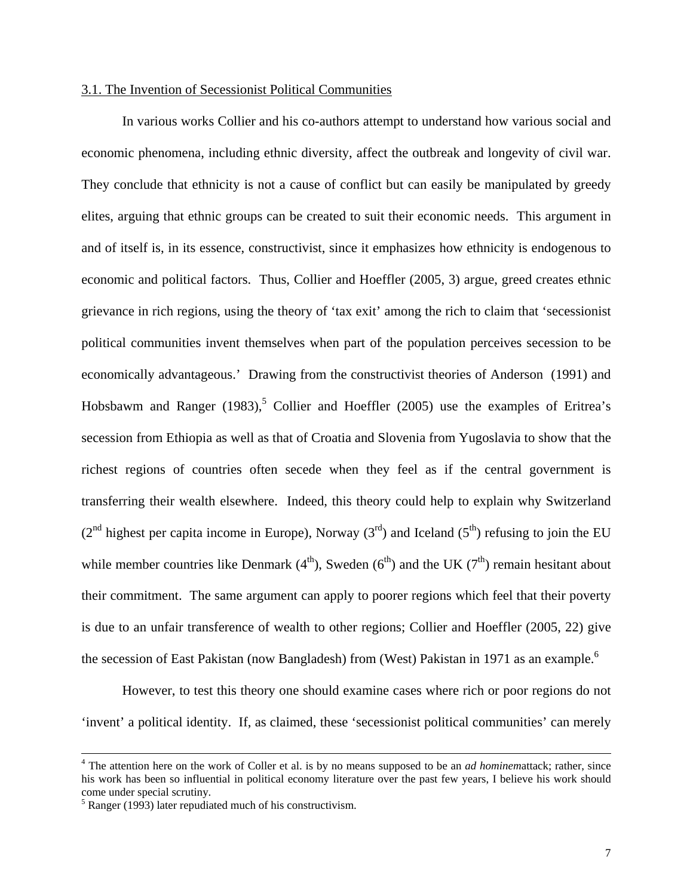#### 3.1. The Invention of Secessionist Political Communities

In various works Collier and his co-authors attempt to understand how various social and economic phenomena, including ethnic diversity, affect the outbreak and longevity of civil war. They conclude that ethnicity is not a cause of conflict but can easily be manipulated by greedy elites, arguing that ethnic groups can be created to suit their economic needs. This argument in and of itself is, in its essence, constructivist, since it emphasizes how ethnicity is endogenous to economic and political factors. Thus, Collier and Hoeffler (2005, 3) argue, greed creates ethnic grievance in rich regions, using the theory of 'tax exit' among the rich to claim that 'secessionist political communities invent themselves when part of the population perceives secession to be economically advantageous.' Drawing from the constructivist theories of Anderson (1991) and Hobsbawm and Ranger  $(1983)$ <sup>[5](#page-7-0)</sup> Collier and Hoeffler  $(2005)$  use the examples of Eritrea's secession from Ethiopia as well as that of Croatia and Slovenia from Yugoslavia to show that the richest regions of countries often secede when they feel as if the central government is transferring their wealth elsewhere. Indeed, this theory could help to explain why Switzerland  $(2^{nd}$  highest per capita income in Europe), Norway  $(3^{rd})$  and Iceland  $(5^{th})$  refusing to join the EU while member countries like Denmark  $(4<sup>th</sup>)$ , Sweden  $(6<sup>th</sup>)$  and the UK  $(7<sup>th</sup>)$  remain hesitant about their commitment. The same argument can apply to poorer regions which feel that their poverty is due to an unfair transference of wealth to other regions; Collier and Hoeffler (2005, 22) give the secession of East Pakistan (now Bangladesh) from (West) Pakistan in 1971 as an example.<sup>6</sup>

However, to test this theory one should examine cases where rich or poor regions do not 'invent' a political identity. If, as claimed, these 'secessionist political communities' can merely

<span id="page-7-1"></span> $\frac{1}{4}$  The attention here on the work of Coller et al. is by no means supposed to be an *ad hominem*attack; rather, since his work has been so influential in political economy literature over the past few years, I believe his work should come under special scrutiny.

<span id="page-7-0"></span> $<sup>5</sup>$  Ranger (1993) later repudiated much of his constructivism.</sup>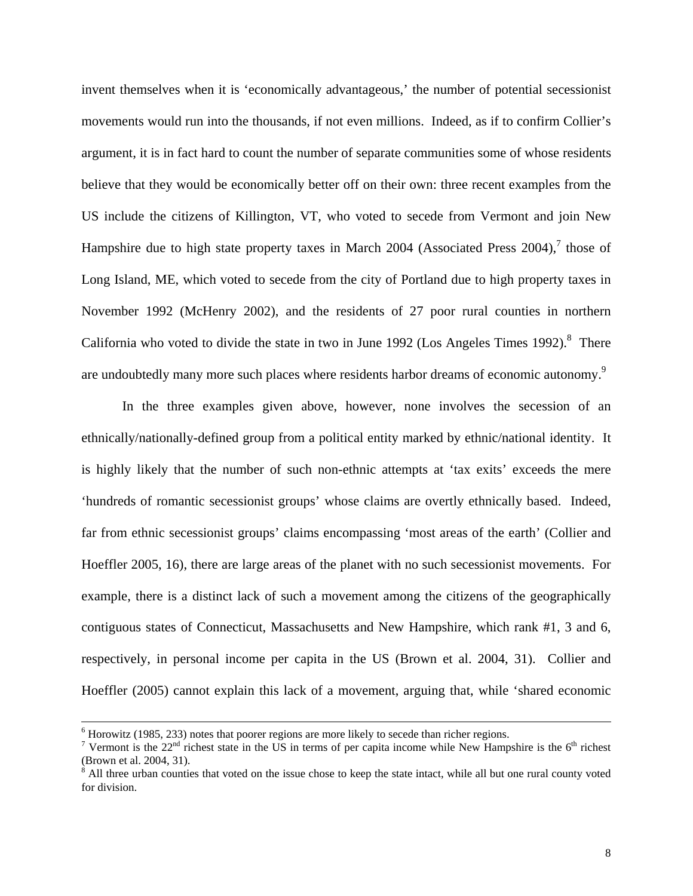invent themselves when it is 'economically advantageous,' the number of potential secessionist movements would run into the thousands, if not even millions. Indeed, as if to confirm Collier's argument, it is in fact hard to count the number of separate communities some of whose residents believe that they would be economically better off on their own: three recent examples from the US include the citizens of Killington, VT, who voted to secede from Vermont and join New Hampshire due to high state property taxes in March 2004 (Associated Press 2004), $^7$  $^7$  those of Long Island, ME, which voted to secede from the city of Portland due to high property taxes in November 1992 (McHenry 2002), and the residents of 27 poor rural counties in northern California who voted to divide the state in two in June 1992 (Los Angeles Times 1992). $8$  There are undoubtedly many more such places where residents harbor dreams of economic autonomy.<sup>[9](#page-8-2)</sup>

In the three examples given above, however, none involves the secession of an ethnically/nationally-defined group from a political entity marked by ethnic/national identity. It is highly likely that the number of such non-ethnic attempts at 'tax exits' exceeds the mere 'hundreds of romantic secessionist groups' whose claims are overtly ethnically based. Indeed, far from ethnic secessionist groups' claims encompassing 'most areas of the earth' (Collier and Hoeffler 2005, 16), there are large areas of the planet with no such secessionist movements. For example, there is a distinct lack of such a movement among the citizens of the geographically contiguous states of Connecticut, Massachusetts and New Hampshire, which rank #1, 3 and 6, respectively, in personal income per capita in the US (Brown et al. 2004, 31). Collier and Hoeffler (2005) cannot explain this lack of a movement, arguing that, while 'shared economic

<span id="page-8-2"></span> <sup>6</sup>  $6$  Horowitz (1985, 233) notes that poorer regions are more likely to secede than richer regions.

<span id="page-8-0"></span><sup>&</sup>lt;sup>7</sup> Vermont is the  $22<sup>nd</sup>$  richest state in the US in terms of per capita income while New Hampshire is the  $6<sup>th</sup>$  richest (Brown et al. 2004, 31).

<span id="page-8-1"></span><sup>&</sup>lt;sup>8</sup> All three urban counties that voted on the issue chose to keep the state intact, while all but one rural county voted for division.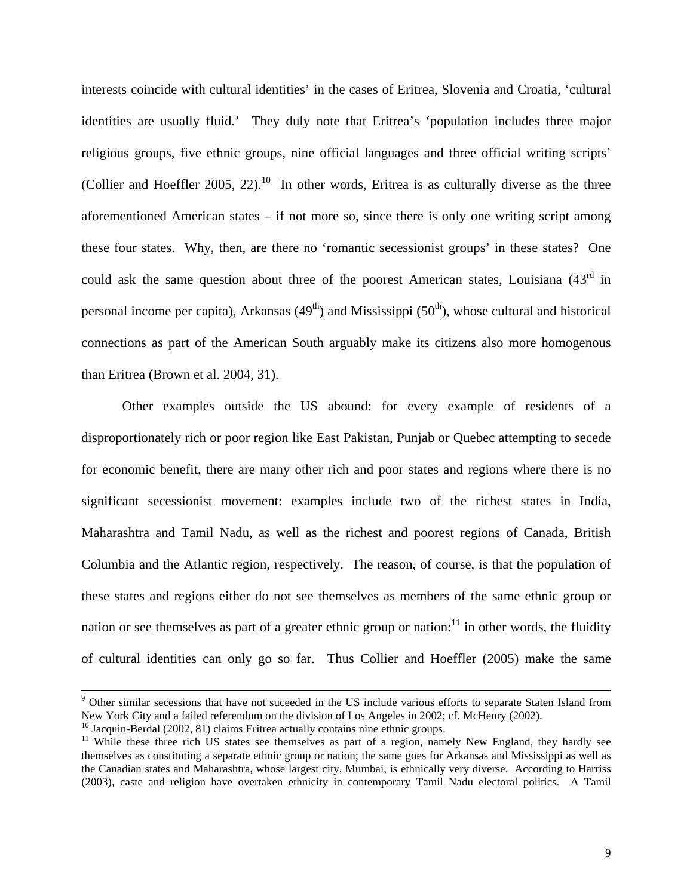<span id="page-9-1"></span>interests coincide with cultural identities' in the cases of Eritrea, Slovenia and Croatia, 'cultural identities are usually fluid.' They duly note that Eritrea's 'population includes three major religious groups, five ethnic groups, nine official languages and three official writing scripts' (Collier and Hoeffler 2005, 22).<sup>10</sup> In other words, Eritrea is as culturally diverse as the three aforementioned American states – if not more so, since there is only one writing script among these four states. Why, then, are there no 'romantic secessionist groups' in these states? One could ask the same question about three of the poorest American states, Louisiana  $(43<sup>rd</sup>$  in personal income per capita), Arkansas  $(49<sup>th</sup>)$  and Mississippi  $(50<sup>th</sup>)$ , whose cultural and historical connections as part of the American South arguably make its citizens also more homogenous than Eritrea (Brown et al. 2004, 31).

Other examples outside the US abound: for every example of residents of a disproportionately rich or poor region like East Pakistan, Punjab or Quebec attempting to secede for economic benefit, there are many other rich and poor states and regions where there is no significant secessionist movement: examples include two of the richest states in India, Maharashtra and Tamil Nadu, as well as the richest and poorest regions of Canada, British Columbia and the Atlantic region, respectively. The reason, of course, is that the population of these states and regions either do not see themselves as members of the same ethnic group or nation or see themselves as part of a greater ethnic group or nation: $^{11}$  in other words, the fluidity of cultural identities can only go so far. Thus Collier and Hoeffler (2005) make the same

<sup>-&</sup>lt;br>9  $9$  Other similar secessions that have not suceeded in the US include various efforts to separate Staten Island from New York City and a failed referendum on the division of Los Angeles in 2002; cf. McHenry (2002).

<span id="page-9-0"></span> $^{10}$  Jacquin-Berdal (2002, 81) claims Eritrea actually contains nine ethnic groups.<br><sup>11</sup> While these three rich US states see themselves as part of a region, namely New England, they hardly see themselves as constituting a separate ethnic group or nation; the same goes for Arkansas and Mississippi as well as the Canadian states and Maharashtra, whose largest city, Mumbai, is ethnically very diverse. According to Harriss (2003), caste and religion have overtaken ethnicity in contemporary Tamil Nadu electoral politics. A Tamil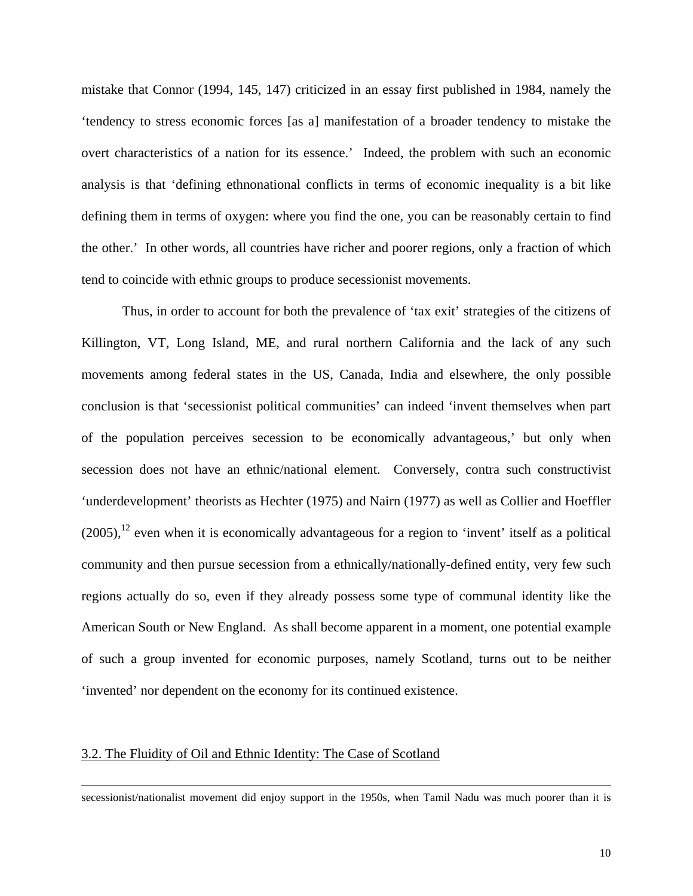mistake that Connor (1994, 145, 147) criticized in an essay first published in 1984, namely the 'tendency to stress economic forces [as a] manifestation of a broader tendency to mistake the overt characteristics of a nation for its essence.' Indeed, the problem with such an economic analysis is that 'defining ethnonational conflicts in terms of economic inequality is a bit like defining them in terms of oxygen: where you find the one, you can be reasonably certain to find the other.' In other words, all countries have richer and poorer regions, only a fraction of which tend to coincide with ethnic groups to produce secessionist movements.

Thus, in order to account for both the prevalence of 'tax exit' strategies of the citizens of Killington, VT, Long Island, ME, and rural northern California and the lack of any such movements among federal states in the US, Canada, India and elsewhere, the only possible conclusion is that 'secessionist political communities' can indeed 'invent themselves when part of the population perceives secession to be economically advantageous,' but only when secession does not have an ethnic/national element. Conversely, contra such constructivist 'underdevelopment' theorists as Hechter (1975) and Nairn (1977) as well as Collier and Hoeffler  $(2005)$ ,<sup>12</sup> even when it is economically advantageous for a region to 'invent' itself as a political community and then pursue secession from a ethnically/nationally-defined entity, very few such regions actually do so, even if they already possess some type of communal identity like the American South or New England. As shall become apparent in a moment, one potential example of such a group invented for economic purposes, namely Scotland, turns out to be neither 'invented' nor dependent on the economy for its continued existence.

## 3.2. The Fluidity of Oil and Ethnic Identity: The Case of Scotland

 $\overline{a}$ 

<span id="page-10-0"></span>secessionist/nationalist movement did enjoy support in the 1950s, when Tamil Nadu was much poorer than it is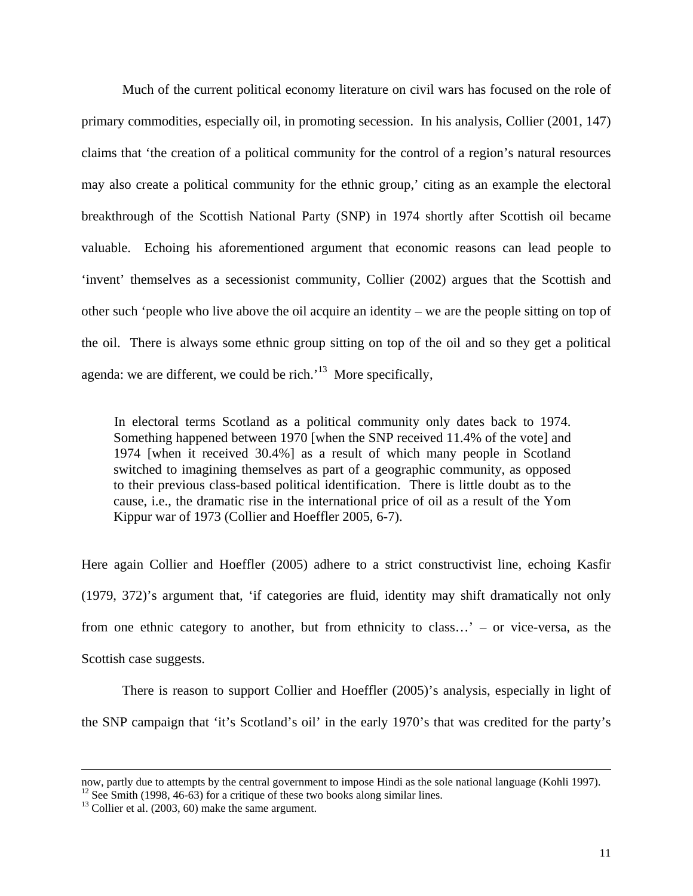Much of the current political economy literature on civil wars has focused on the role of primary commodities, especially oil, in promoting secession. In his analysis, Collier (2001, 147) claims that 'the creation of a political community for the control of a region's natural resources may also create a political community for the ethnic group,' citing as an example the electoral breakthrough of the Scottish National Party (SNP) in 1974 shortly after Scottish oil became valuable. Echoing his aforementioned argument that economic reasons can lead people to 'invent' themselves as a secessionist community, Collier (2002) argues that the Scottish and other such 'people who live above the oil acquire an identity – we are the people sitting on top of the oil. There is always some ethnic group sitting on top of the oil and so they get a political agenda: we are different, we could be rich.<sup> $13$ </sup> More specifically,

In electoral terms Scotland as a political community only dates back to 1974. Something happened between 1970 [when the SNP received 11.4% of the vote] and 1974 [when it received 30.4%] as a result of which many people in Scotland switched to imagining themselves as part of a geographic community, as opposed to their previous class-based political identification. There is little doubt as to the cause, i.e., the dramatic rise in the international price of oil as a result of the Yom Kippur war of 1973 (Collier and Hoeffler 2005, 6-7).

Here again Collier and Hoeffler (2005) adhere to a strict constructivist line, echoing Kasfir (1979, 372)'s argument that, 'if categories are fluid, identity may shift dramatically not only from one ethnic category to another, but from ethnicity to class…' – or vice-versa, as the Scottish case suggests.

There is reason to support Collier and Hoeffler (2005)'s analysis, especially in light of the SNP campaign that 'it's Scotland's oil' in the early 1970's that was credited for the party's

 $\overline{a}$ 

now, partly due to attempts by the central government to impose Hindi as the sole national language (Kohli 1997).<br><sup>12</sup> See Smith (1998, 46-63) for a critique of these two books along similar lines.<br><sup>13</sup> Collier et al. (200

<span id="page-11-0"></span>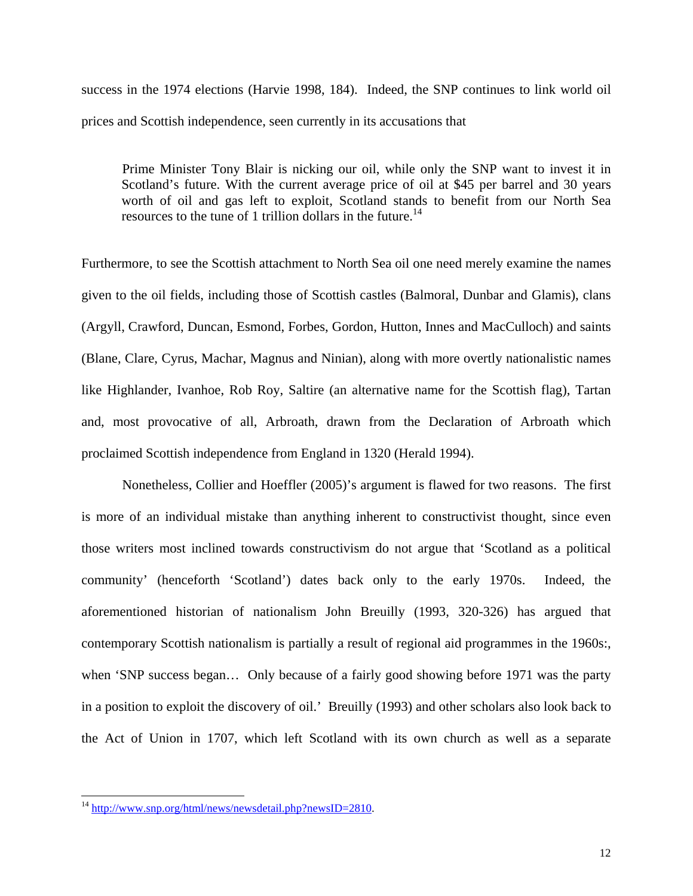success in the 1974 elections (Harvie 1998, 184). Indeed, the SNP continues to link world oil prices and Scottish independence, seen currently in its accusations that

Prime Minister Tony Blair is nicking our oil, while only the SNP want to invest it in Scotland's future. With the current average price of oil at \$45 per barrel and 30 years worth of oil and gas left to exploit, Scotland stands to benefit from our North Sea resources to the tune of 1 trillion dollars in the future.<sup>[14](#page-12-0)</sup>

Furthermore, to see the Scottish attachment to North Sea oil one need merely examine the names given to the oil fields, including those of Scottish castles (Balmoral, Dunbar and Glamis), clans (Argyll, Crawford, Duncan, Esmond, Forbes, Gordon, Hutton, Innes and MacCulloch) and saints (Blane, Clare, Cyrus, Machar, Magnus and Ninian), along with more overtly nationalistic names like Highlander, Ivanhoe, Rob Roy, Saltire (an alternative name for the Scottish flag), Tartan and, most provocative of all, Arbroath, drawn from the Declaration of Arbroath which proclaimed Scottish independence from England in 1320 (Herald 1994).

Nonetheless, Collier and Hoeffler (2005)'s argument is flawed for two reasons. The first is more of an individual mistake than anything inherent to constructivist thought, since even those writers most inclined towards constructivism do not argue that 'Scotland as a political community' (henceforth 'Scotland') dates back only to the early 1970s. Indeed, the aforementioned historian of nationalism John Breuilly (1993, 320-326) has argued that contemporary Scottish nationalism is partially a result of regional aid programmes in the 1960s:, when 'SNP success began… Only because of a fairly good showing before 1971 was the party in a position to exploit the discovery of oil.' Breuilly (1993) and other scholars also look back to the Act of Union in 1707, which left Scotland with its own church as well as a separate

<span id="page-12-0"></span><sup>&</sup>lt;sup>14</sup> <http://www.snp.org/html/news/newsdetail.php?newsID=2810>.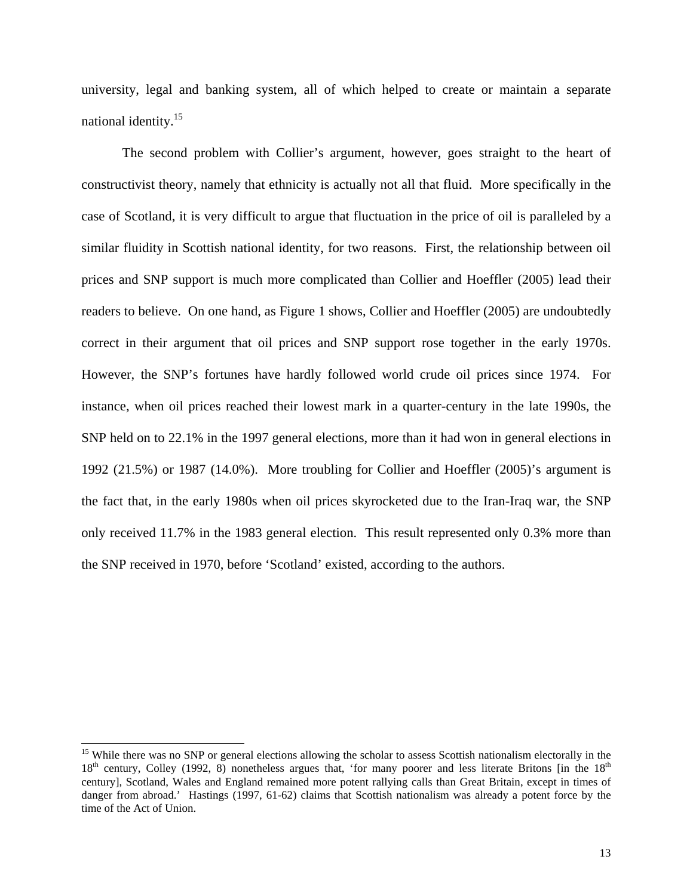university, legal and banking system, all of which helped to create or maintain a separate national identity.[15](#page-13-0)

The second problem with Collier's argument, however, goes straight to the heart of constructivist theory, namely that ethnicity is actually not all that fluid. More specifically in the case of Scotland, it is very difficult to argue that fluctuation in the price of oil is paralleled by a similar fluidity in Scottish national identity, for two reasons. First, the relationship between oil prices and SNP support is much more complicated than Collier and Hoeffler (2005) lead their readers to believe. On one hand, as Figure 1 shows, Collier and Hoeffler (2005) are undoubtedly correct in their argument that oil prices and SNP support rose together in the early 1970s. However, the SNP's fortunes have hardly followed world crude oil prices since 1974. For instance, when oil prices reached their lowest mark in a quarter-century in the late 1990s, the SNP held on to 22.1% in the 1997 general elections, more than it had won in general elections in 1992 (21.5%) or 1987 (14.0%). More troubling for Collier and Hoeffler (2005)'s argument is the fact that, in the early 1980s when oil prices skyrocketed due to the Iran-Iraq war, the SNP only received 11.7% in the 1983 general election. This result represented only 0.3% more than the SNP received in 1970, before 'Scotland' existed, according to the authors.

<span id="page-13-0"></span><sup>&</sup>lt;sup>15</sup> While there was no SNP or general elections allowing the scholar to assess Scottish nationalism electorally in the  $18<sup>th</sup>$  century, Colley (1992, 8) nonetheless argues that, 'for many poorer and less literate Britons [in the  $18<sup>th</sup>$ century], Scotland, Wales and England remained more potent rallying calls than Great Britain, except in times of danger from abroad.' Hastings (1997, 61-62) claims that Scottish nationalism was already a potent force by the time of the Act of Union.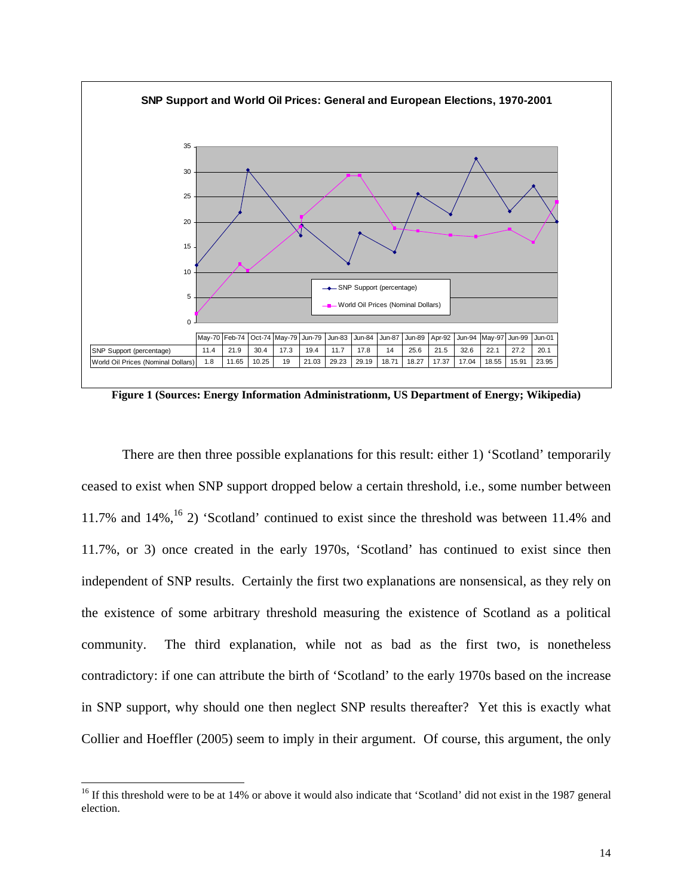

**Figure 1 (Sources: Energy Information Administrationm, US Department of Energy; Wikipedia)** 

There are then three possible explanations for this result: either 1) 'Scotland' temporarily ceased to exist when SNP support dropped below a certain threshold, i.e., some number between 11.7% and  $14\%$ ,  $^{16}$  2) 'Scotland' continued to exist since the threshold was between 11.4% and 11.7%, or 3) once created in the early 1970s, 'Scotland' has continued to exist since then independent of SNP results. Certainly the first two explanations are nonsensical, as they rely on the existence of some arbitrary threshold measuring the existence of Scotland as a political community. The third explanation, while not as bad as the first two, is nonetheless contradictory: if one can attribute the birth of 'Scotland' to the early 1970s based on the increase in SNP support, why should one then neglect SNP results thereafter? Yet this is exactly what Collier and Hoeffler (2005) seem to imply in their argument. Of course, this argument, the only

<span id="page-14-0"></span><sup>&</sup>lt;sup>16</sup> If this threshold were to be at 14% or above it would also indicate that 'Scotland' did not exist in the 1987 general election.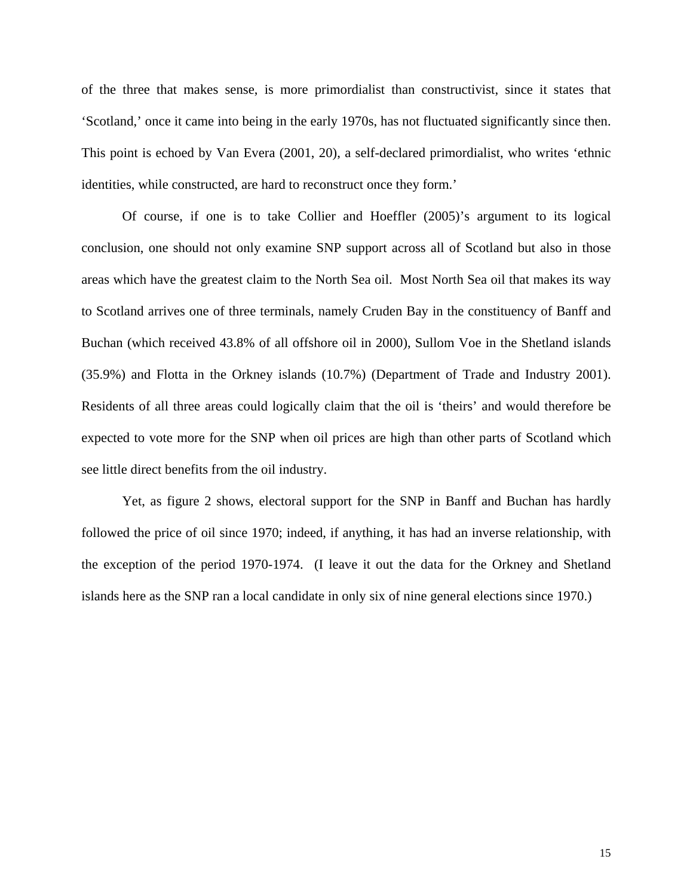of the three that makes sense, is more primordialist than constructivist, since it states that 'Scotland,' once it came into being in the early 1970s, has not fluctuated significantly since then. This point is echoed by Van Evera (2001, 20), a self-declared primordialist, who writes 'ethnic identities, while constructed, are hard to reconstruct once they form.'

Of course, if one is to take Collier and Hoeffler (2005)'s argument to its logical conclusion, one should not only examine SNP support across all of Scotland but also in those areas which have the greatest claim to the North Sea oil. Most North Sea oil that makes its way to Scotland arrives one of three terminals, namely Cruden Bay in the constituency of Banff and Buchan (which received 43.8% of all offshore oil in 2000), Sullom Voe in the Shetland islands (35.9%) and Flotta in the Orkney islands (10.7%) (Department of Trade and Industry 2001). Residents of all three areas could logically claim that the oil is 'theirs' and would therefore be expected to vote more for the SNP when oil prices are high than other parts of Scotland which see little direct benefits from the oil industry.

Yet, as figure 2 shows, electoral support for the SNP in Banff and Buchan has hardly followed the price of oil since 1970; indeed, if anything, it has had an inverse relationship, with the exception of the period 1970-1974. (I leave it out the data for the Orkney and Shetland islands here as the SNP ran a local candidate in only six of nine general elections since 1970.)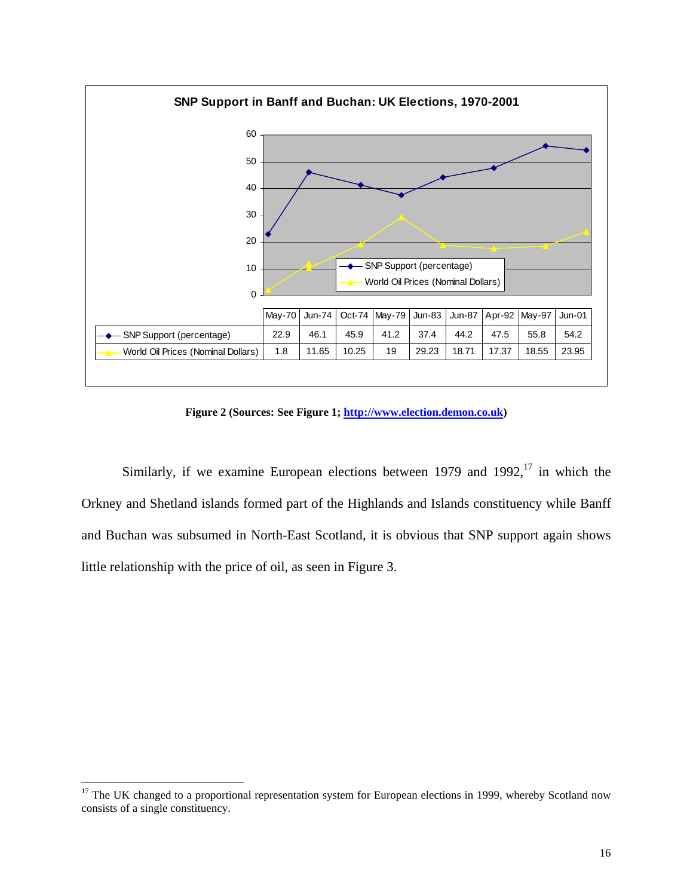

**Figure 2 (Sources: See Figure 1; [http://www.election.demon.co.uk\)](http://www.election.demon.co.uk/)** 

Similarly, if we examine European elections between 1979 and 1992, $^{17}$  in which the Orkney and Shetland islands formed part of the Highlands and Islands constituency while Banff and Buchan was subsumed in North-East Scotland, it is obvious that SNP support again shows little relationship with the price of oil, as seen in Figure 3.

<span id="page-16-0"></span><sup>&</sup>lt;sup>17</sup> The UK changed to a proportional representation system for European elections in 1999, whereby Scotland now consists of a single constituency.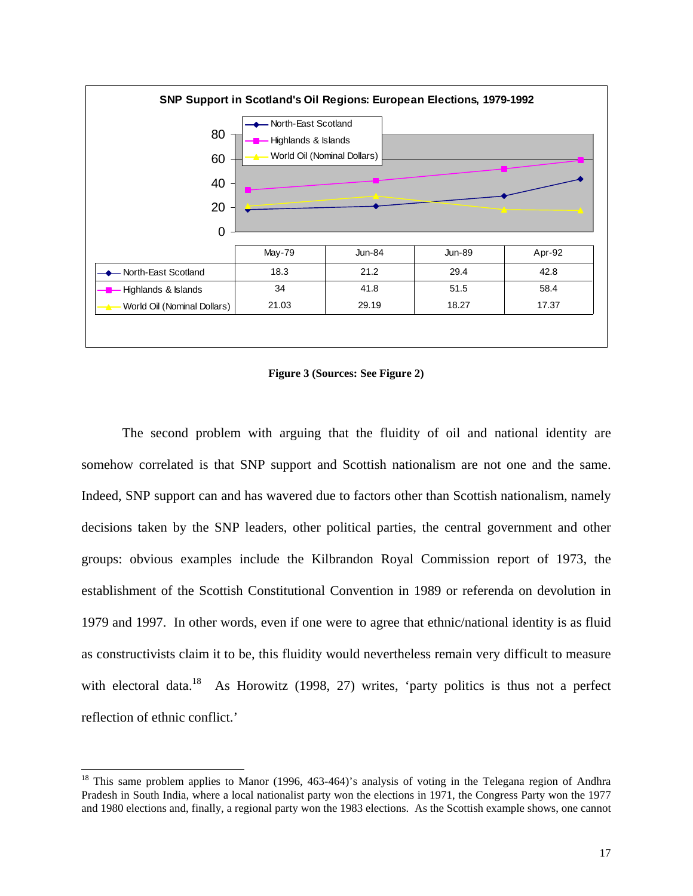<span id="page-17-0"></span>![](_page_17_Figure_0.jpeg)

**Figure 3 (Sources: See Figure 2)** 

The second problem with arguing that the fluidity of oil and national identity are somehow correlated is that SNP support and Scottish nationalism are not one and the same. Indeed, SNP support can and has wavered due to factors other than Scottish nationalism, namely decisions taken by the SNP leaders, other political parties, the central government and other groups: obvious examples include the Kilbrandon Royal Commission report of 1973, the establishment of the Scottish Constitutional Convention in 1989 or referenda on devolution in 1979 and 1997. In other words, even if one were to agree that ethnic/national identity is as fluid as constructivists claim it to be, this fluidity would nevertheless remain very difficult to measure with electoral data.<sup>18</sup> As Horowitz (1998, 27) writes, 'party politics is thus not a perfect reflection of ethnic conflict.'

<sup>&</sup>lt;sup>18</sup> This same problem applies to Manor (1996, 463-464)'s analysis of voting in the Telegana region of Andhra Pradesh in South India, where a local nationalist party won the elections in 1971, the Congress Party won the 1977 and 1980 elections and, finally, a regional party won the 1983 elections. As the Scottish example shows, one cannot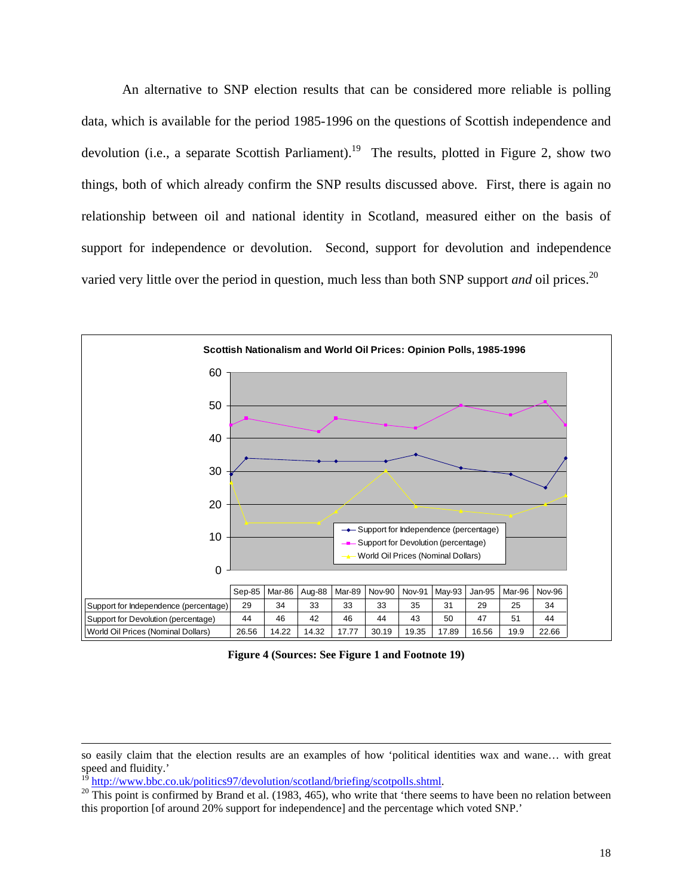An alternative to SNP election results that can be considered more reliable is polling data, which is available for the period 1985-1996 on the questions of Scottish independence and devolution (i.e., a separate Scottish Parliament).<sup>19</sup> The results, plotted in Figure 2, show two things, both of which already confirm the SNP results discussed above. First, there is again no relationship between oil and national identity in Scotland, measured either on the basis of support for independence or devolution. Second, support for devolution and independence varied very little over the period in question, much less than both SNP support *and* oil prices.<sup>[20](#page-18-1)</sup>

![](_page_18_Figure_1.jpeg)

**Figure 4 (Sources: See Figure 1 and Footnote 19)** 

 $\overline{a}$ 

so easily claim that the election results are an examples of how 'political identities wax and wane… with great speed and fluidity.'

<span id="page-18-1"></span><span id="page-18-0"></span>

<sup>&</sup>lt;sup>19</sup> <http://www.bbc.co.uk/politics97/devolution/scotland/briefing/scotpolls.shtml>.<br><sup>20</sup> This point is confirmed by Brand et al. (1983, 465), who write that 'there seems to have been no relation between this proportion [of around 20% support for independence] and the percentage which voted SNP.'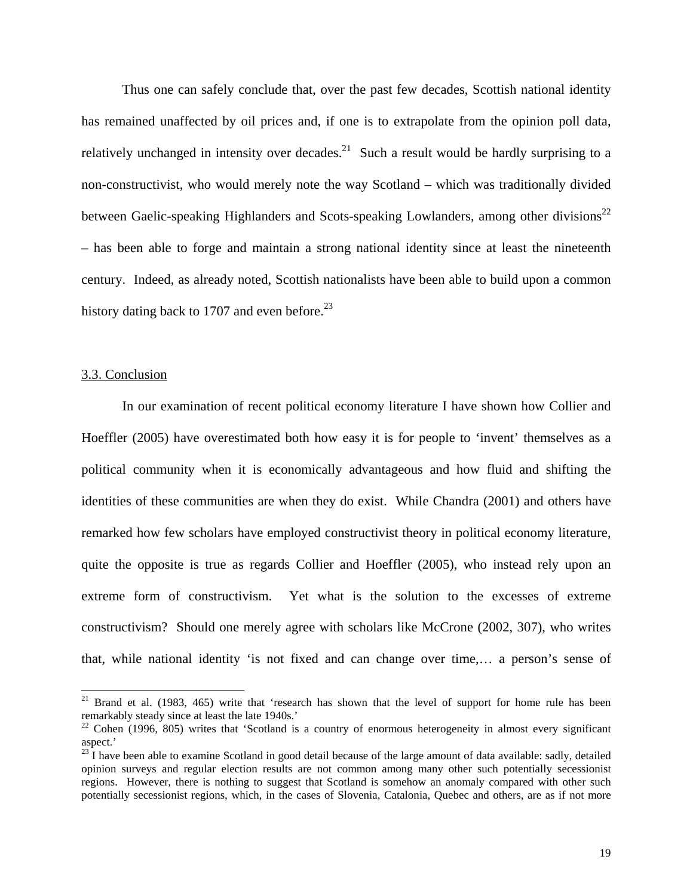<span id="page-19-2"></span>Thus one can safely conclude that, over the past few decades, Scottish national identity has remained unaffected by oil prices and, if one is to extrapolate from the opinion poll data, relatively unchanged in intensity over decades.<sup>21</sup> Such a result would be hardly surprising to a non-constructivist, who would merely note the way Scotland – which was traditionally divided between Gaelic-speaking Highlanders and Scots-speaking Lowlanders, among other divisions<sup>22</sup> – has been able to forge and maintain a strong national identity since at least the nineteenth century. Indeed, as already noted, Scottish nationalists have been able to build upon a common history dating back to 1707 and even before.<sup>[23](#page-19-2)</sup>

# 3.3. Conclusion

In our examination of recent political economy literature I have shown how Collier and Hoeffler (2005) have overestimated both how easy it is for people to 'invent' themselves as a political community when it is economically advantageous and how fluid and shifting the identities of these communities are when they do exist. While Chandra (2001) and others have remarked how few scholars have employed constructivist theory in political economy literature, quite the opposite is true as regards Collier and Hoeffler (2005), who instead rely upon an extreme form of constructivism. Yet what is the solution to the excesses of extreme constructivism? Should one merely agree with scholars like McCrone (2002, 307), who writes that, while national identity 'is not fixed and can change over time,… a person's sense of

<span id="page-19-0"></span><sup>&</sup>lt;sup>21</sup> Brand et al. (1983, 465) write that 'research has shown that the level of support for home rule has been remarkably steady since at least the late 1940s.'

<span id="page-19-1"></span> $22$  Cohen (1996, 805) writes that 'Scotland is a country of enormous heterogeneity in almost every significant aspect.'

 $^{23}$ I have been able to examine Scotland in good detail because of the large amount of data available: sadly, detailed opinion surveys and regular election results are not common among many other such potentially secessionist regions. However, there is nothing to suggest that Scotland is somehow an anomaly compared with other such potentially secessionist regions, which, in the cases of Slovenia, Catalonia, Quebec and others, are as if not more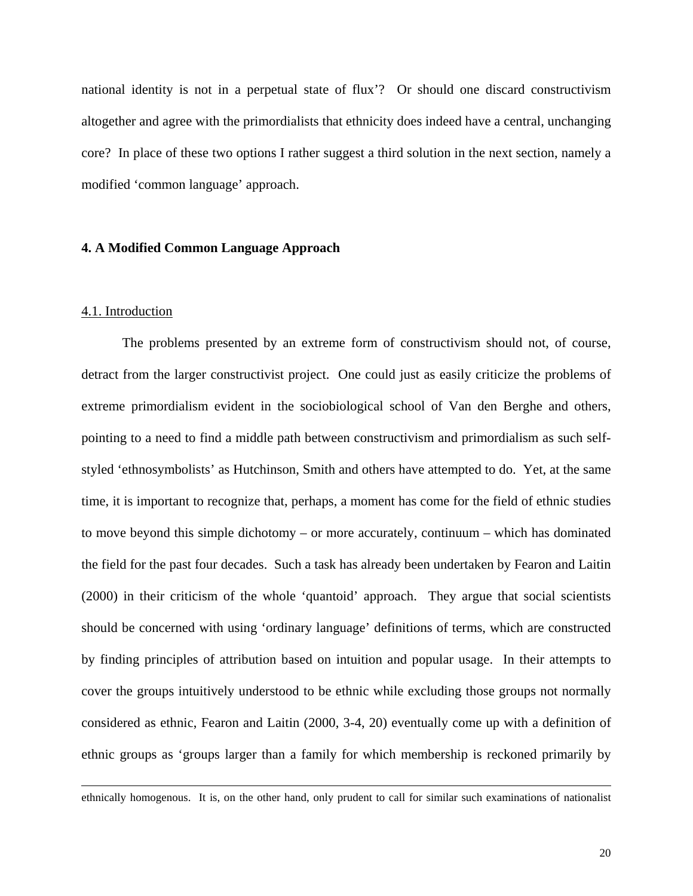national identity is not in a perpetual state of flux'? Or should one discard constructivism altogether and agree with the primordialists that ethnicity does indeed have a central, unchanging core? In place of these two options I rather suggest a third solution in the next section, namely a modified 'common language' approach.

# **4. A Modified Common Language Approach**

### 4.1. Introduction

l

The problems presented by an extreme form of constructivism should not, of course, detract from the larger constructivist project. One could just as easily criticize the problems of extreme primordialism evident in the sociobiological school of Van den Berghe and others, pointing to a need to find a middle path between constructivism and primordialism as such selfstyled 'ethnosymbolists' as Hutchinson, Smith and others have attempted to do. Yet, at the same time, it is important to recognize that, perhaps, a moment has come for the field of ethnic studies to move beyond this simple dichotomy – or more accurately, continuum – which has dominated the field for the past four decades. Such a task has already been undertaken by Fearon and Laitin (2000) in their criticism of the whole 'quantoid' approach. They argue that social scientists should be concerned with using 'ordinary language' definitions of terms, which are constructed by finding principles of attribution based on intuition and popular usage. In their attempts to cover the groups intuitively understood to be ethnic while excluding those groups not normally considered as ethnic, Fearon and Laitin (2000, 3-4, 20) eventually come up with a definition of ethnic groups as 'groups larger than a family for which membership is reckoned primarily by

ethnically homogenous. It is, on the other hand, only prudent to call for similar such examinations of nationalist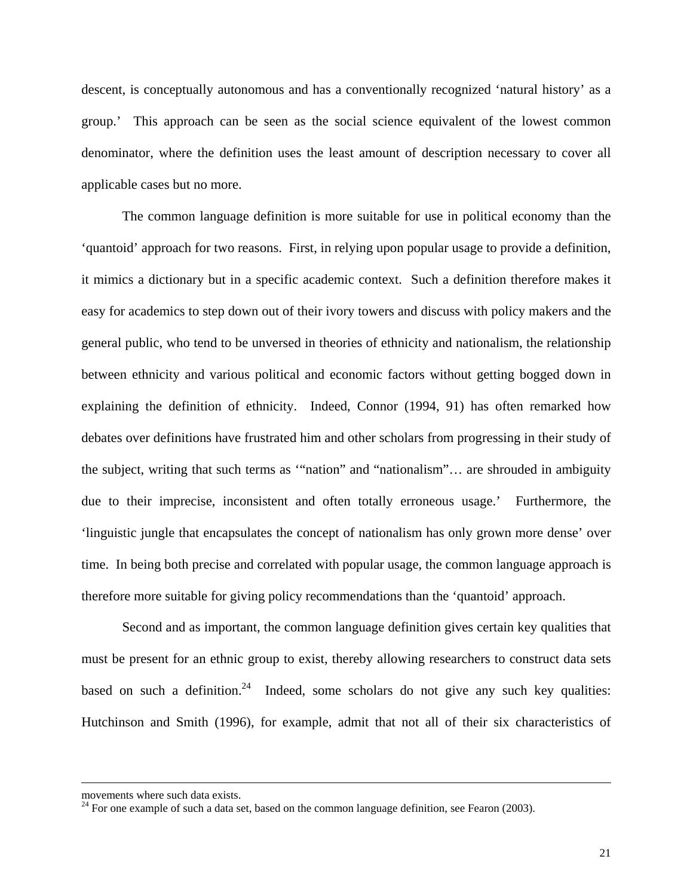descent, is conceptually autonomous and has a conventionally recognized 'natural history' as a group.' This approach can be seen as the social science equivalent of the lowest common denominator, where the definition uses the least amount of description necessary to cover all applicable cases but no more.

The common language definition is more suitable for use in political economy than the 'quantoid' approach for two reasons. First, in relying upon popular usage to provide a definition, it mimics a dictionary but in a specific academic context. Such a definition therefore makes it easy for academics to step down out of their ivory towers and discuss with policy makers and the general public, who tend to be unversed in theories of ethnicity and nationalism, the relationship between ethnicity and various political and economic factors without getting bogged down in explaining the definition of ethnicity. Indeed, Connor (1994, 91) has often remarked how debates over definitions have frustrated him and other scholars from progressing in their study of the subject, writing that such terms as '"nation" and "nationalism"… are shrouded in ambiguity due to their imprecise, inconsistent and often totally erroneous usage.' Furthermore, the 'linguistic jungle that encapsulates the concept of nationalism has only grown more dense' over time. In being both precise and correlated with popular usage, the common language approach is therefore more suitable for giving policy recommendations than the 'quantoid' approach.

Second and as important, the common language definition gives certain key qualities that must be present for an ethnic group to exist, thereby allowing researchers to construct data sets based on such a definition.<sup>24</sup> Indeed, some scholars do not give any such key qualities: Hutchinson and Smith (1996), for example, admit that not all of their six characteristics of

 $\overline{a}$ 

<span id="page-21-0"></span>

movements where such data exists.<br><sup>24</sup> For one example of such a data set, based on the common language definition, see Fearon (2003).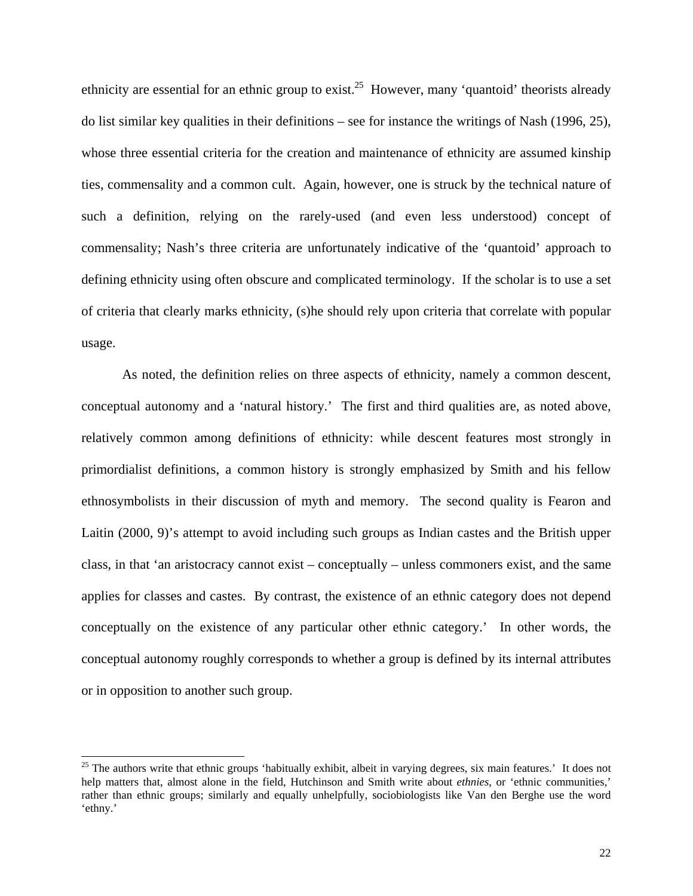ethnicity are essential for an ethnic group to exist.<sup>25</sup> However, many 'quantoid' theorists already do list similar key qualities in their definitions – see for instance the writings of Nash (1996, 25), whose three essential criteria for the creation and maintenance of ethnicity are assumed kinship ties, commensality and a common cult. Again, however, one is struck by the technical nature of such a definition, relying on the rarely-used (and even less understood) concept of commensality; Nash's three criteria are unfortunately indicative of the 'quantoid' approach to defining ethnicity using often obscure and complicated terminology. If the scholar is to use a set of criteria that clearly marks ethnicity, (s)he should rely upon criteria that correlate with popular usage.

As noted, the definition relies on three aspects of ethnicity, namely a common descent, conceptual autonomy and a 'natural history.' The first and third qualities are, as noted above, relatively common among definitions of ethnicity: while descent features most strongly in primordialist definitions, a common history is strongly emphasized by Smith and his fellow ethnosymbolists in their discussion of myth and memory. The second quality is Fearon and Laitin (2000, 9)'s attempt to avoid including such groups as Indian castes and the British upper class, in that 'an aristocracy cannot exist – conceptually – unless commoners exist, and the same applies for classes and castes. By contrast, the existence of an ethnic category does not depend conceptually on the existence of any particular other ethnic category.' In other words, the conceptual autonomy roughly corresponds to whether a group is defined by its internal attributes or in opposition to another such group.

<span id="page-22-0"></span> $25$  The authors write that ethnic groups 'habitually exhibit, albeit in varying degrees, six main features.' It does not help matters that, almost alone in the field, Hutchinson and Smith write about *ethnies*, or 'ethnic communities,' rather than ethnic groups; similarly and equally unhelpfully, sociobiologists like Van den Berghe use the word 'ethny.'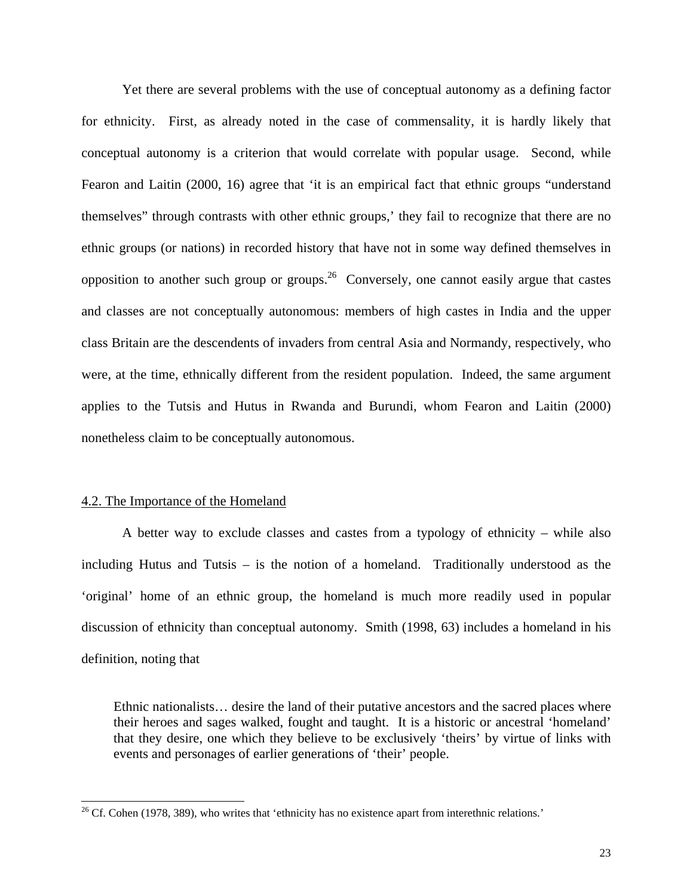Yet there are several problems with the use of conceptual autonomy as a defining factor for ethnicity. First, as already noted in the case of commensality, it is hardly likely that conceptual autonomy is a criterion that would correlate with popular usage. Second, while Fearon and Laitin (2000, 16) agree that 'it is an empirical fact that ethnic groups "understand themselves" through contrasts with other ethnic groups,' they fail to recognize that there are no ethnic groups (or nations) in recorded history that have not in some way defined themselves in opposition to another such group or groups.<sup>26</sup> Conversely, one cannot easily argue that castes and classes are not conceptually autonomous: members of high castes in India and the upper class Britain are the descendents of invaders from central Asia and Normandy, respectively, who were, at the time, ethnically different from the resident population. Indeed, the same argument applies to the Tutsis and Hutus in Rwanda and Burundi, whom Fearon and Laitin (2000) nonetheless claim to be conceptually autonomous.

# 4.2. The Importance of the Homeland

A better way to exclude classes and castes from a typology of ethnicity – while also including Hutus and Tutsis – is the notion of a homeland. Traditionally understood as the 'original' home of an ethnic group, the homeland is much more readily used in popular discussion of ethnicity than conceptual autonomy. Smith (1998, 63) includes a homeland in his definition, noting that

Ethnic nationalists… desire the land of their putative ancestors and the sacred places where their heroes and sages walked, fought and taught. It is a historic or ancestral 'homeland' that they desire, one which they believe to be exclusively 'theirs' by virtue of links with events and personages of earlier generations of 'their' people.

<span id="page-23-0"></span><sup>&</sup>lt;sup>26</sup> Cf. Cohen (1978, 389), who writes that 'ethnicity has no existence apart from interethnic relations.'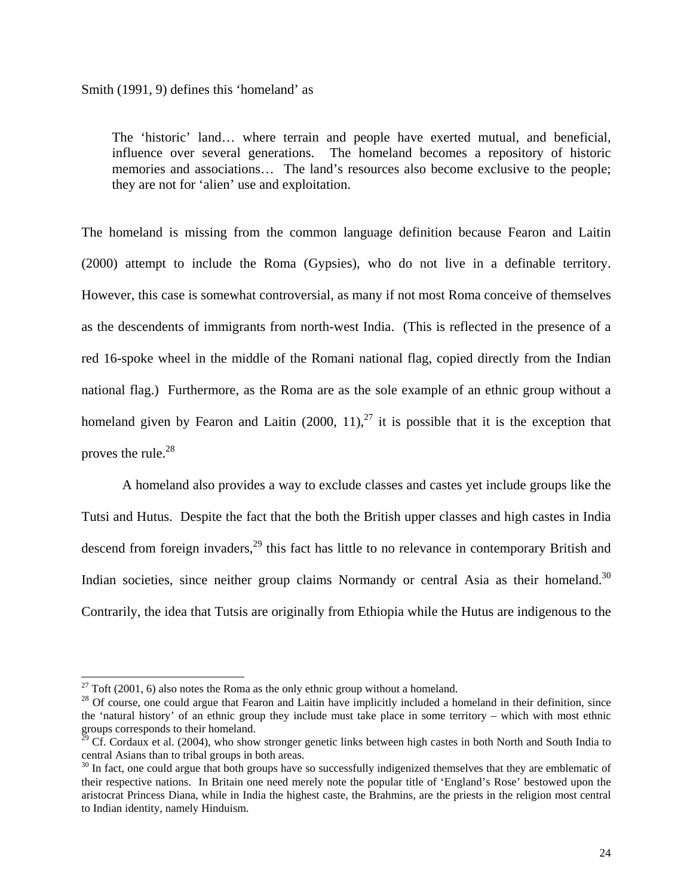The 'historic' land… where terrain and people have exerted mutual, and beneficial, influence over several generations. The homeland becomes a repository of historic memories and associations… The land's resources also become exclusive to the people; they are not for 'alien' use and exploitation.

The homeland is missing from the common language definition because Fearon and Laitin (2000) attempt to include the Roma (Gypsies), who do not live in a definable territory. However, this case is somewhat controversial, as many if not most Roma conceive of themselves as the descendents of immigrants from north-west India. (This is reflected in the presence of a red 16-spoke wheel in the middle of the Romani national flag, copied directly from the Indian national flag.) Furthermore, as the Roma are as the sole example of an ethnic group without a homeland given by Fearon and Laitin  $(2000, 11)$ ,<sup>27</sup> it is possible that it is the exception that proves the rule. $^{28}$ 

A homeland also provides a way to exclude classes and castes yet include groups like the Tutsi and Hutus. Despite the fact that the both the British upper classes and high castes in India descend from foreign invaders,<sup>29</sup> this fact has little to no relevance in contemporary British and Indian societies, since neither group claims Normandy or central Asia as their homeland.<sup>30</sup> Contrarily, the idea that Tutsis are originally from Ethiopia while the Hutus are indigenous to the

<span id="page-24-1"></span><span id="page-24-0"></span>

<sup>&</sup>lt;sup>27</sup> Toft (2001, 6) also notes the Roma as the only ethnic group without a homeland.<br><sup>28</sup> Of course, one could argue that Fearon and Laitin have implicitly included a homeland in their definition, since the 'natural history' of an ethnic group they include must take place in some territory – which with most ethnic groups corresponds to their homeland.

<span id="page-24-2"></span> $^{29}$  Cf. Cordaux et al. (2004), who show stronger genetic links between high castes in both North and South India to central Asians than to tribal groups in both areas.<br><sup>30</sup> In fact, one could argue that both groups have so successfully indigenized themselves that they are emblematic of

<span id="page-24-3"></span>their respective nations. In Britain one need merely note the popular title of 'England's Rose' bestowed upon the aristocrat Princess Diana, while in India the highest caste, the Brahmins, are the priests in the religion most central to Indian identity, namely Hinduism.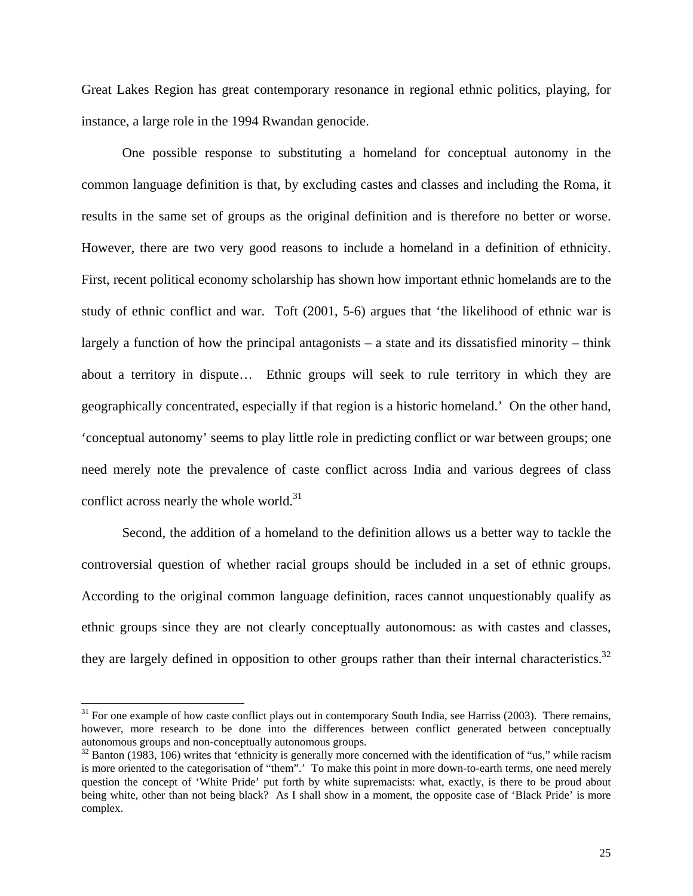Great Lakes Region has great contemporary resonance in regional ethnic politics, playing, for instance, a large role in the 1994 Rwandan genocide.

One possible response to substituting a homeland for conceptual autonomy in the common language definition is that, by excluding castes and classes and including the Roma, it results in the same set of groups as the original definition and is therefore no better or worse. However, there are two very good reasons to include a homeland in a definition of ethnicity. First, recent political economy scholarship has shown how important ethnic homelands are to the study of ethnic conflict and war. Toft (2001, 5-6) argues that 'the likelihood of ethnic war is largely a function of how the principal antagonists – a state and its dissatisfied minority – think about a territory in dispute… Ethnic groups will seek to rule territory in which they are geographically concentrated, especially if that region is a historic homeland.' On the other hand, 'conceptual autonomy' seems to play little role in predicting conflict or war between groups; one need merely note the prevalence of caste conflict across India and various degrees of class conflict across nearly the whole world.<sup>[31](#page-25-0)</sup>

Second, the addition of a homeland to the definition allows us a better way to tackle the controversial question of whether racial groups should be included in a set of ethnic groups. According to the original common language definition, races cannot unquestionably qualify as ethnic groups since they are not clearly conceptually autonomous: as with castes and classes, they are largely defined in opposition to other groups rather than their internal characteristics.<sup>32</sup>

<span id="page-25-0"></span> $31$  For one example of how caste conflict plays out in contemporary South India, see Harriss (2003). There remains, however, more research to be done into the differences between conflict generated between conceptually autonomous groups and non-conceptually autonomous groups.<br><sup>32</sup> Banton (1983, 106) writes that 'ethnicity is generally more concerned with the identification of "us," while racism

<span id="page-25-1"></span>is more oriented to the categorisation of "them".' To make this point in more down-to-earth terms, one need merely question the concept of 'White Pride' put forth by white supremacists: what, exactly, is there to be proud about being white, other than not being black? As I shall show in a moment, the opposite case of 'Black Pride' is more complex.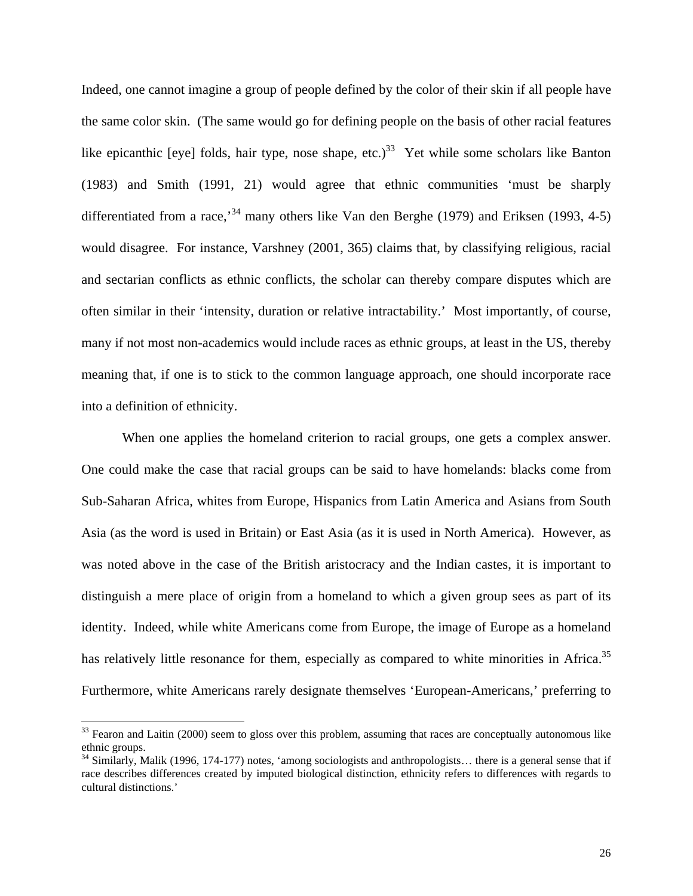Indeed, one cannot imagine a group of people defined by the color of their skin if all people have the same color skin. (The same would go for defining people on the basis of other racial features like epicanthic [eye] folds, hair type, nose shape, etc.)<sup>33</sup> Yet while some scholars like Banton (1983) and Smith (1991, 21) would agree that ethnic communities 'must be sharply differentiated from a race,<sup>34</sup> many others like Van den Berghe (1979) and Eriksen (1993, 4-5) would disagree. For instance, Varshney (2001, 365) claims that, by classifying religious, racial and sectarian conflicts as ethnic conflicts, the scholar can thereby compare disputes which are often similar in their 'intensity, duration or relative intractability.' Most importantly, of course, many if not most non-academics would include races as ethnic groups, at least in the US, thereby meaning that, if one is to stick to the common language approach, one should incorporate race into a definition of ethnicity.

When one applies the homeland criterion to racial groups, one gets a complex answer. One could make the case that racial groups can be said to have homelands: blacks come from Sub-Saharan Africa, whites from Europe, Hispanics from Latin America and Asians from South Asia (as the word is used in Britain) or East Asia (as it is used in North America). However, as was noted above in the case of the British aristocracy and the Indian castes, it is important to distinguish a mere place of origin from a homeland to which a given group sees as part of its identity. Indeed, while white Americans come from Europe, the image of Europe as a homeland has relatively little resonance for them, especially as compared to white minorities in Africa.<sup>35</sup> Furthermore, white Americans rarely designate themselves 'European-Americans,' preferring to

<span id="page-26-2"></span><span id="page-26-0"></span> $33$  Fearon and Laitin (2000) seem to gloss over this problem, assuming that races are conceptually autonomous like ethnic groups.

<span id="page-26-1"></span><sup>&</sup>lt;sup>34</sup> Similarly, Malik (1996, 174-177) notes, 'among sociologists and anthropologists... there is a general sense that if race describes differences created by imputed biological distinction, ethnicity refers to differences with regards to cultural distinctions.'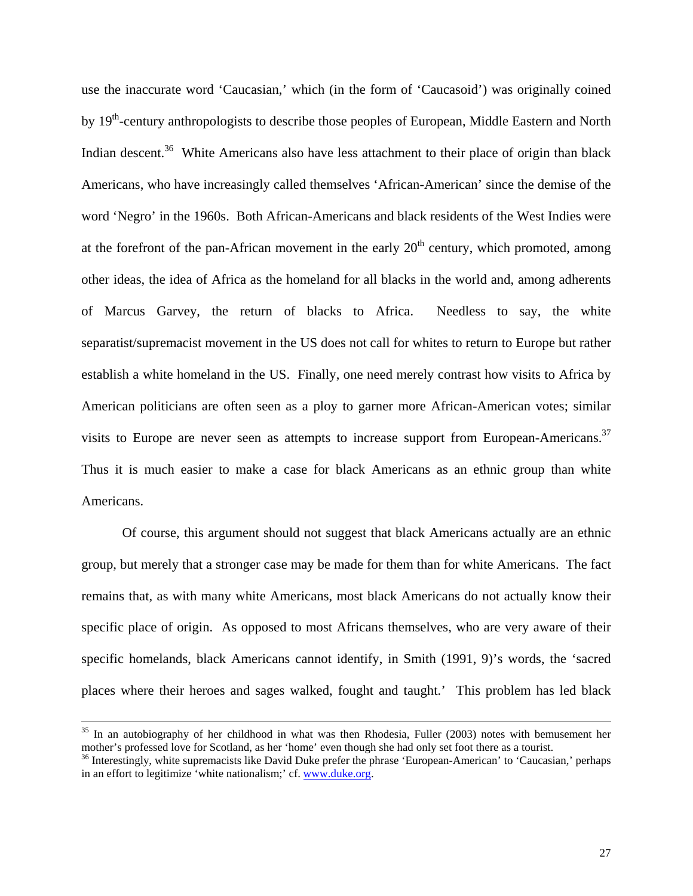use the inaccurate word 'Caucasian,' which (in the form of 'Caucasoid') was originally coined by 19<sup>th</sup>-century anthropologists to describe those peoples of European, Middle Eastern and North Indian descent.<sup>36</sup> White Americans also have less attachment to their place of origin than black Americans, who have increasingly called themselves 'African-American' since the demise of the word 'Negro' in the 1960s. Both African-Americans and black residents of the West Indies were at the forefront of the pan-African movement in the early  $20<sup>th</sup>$  century, which promoted, among other ideas, the idea of Africa as the homeland for all blacks in the world and, among adherents of Marcus Garvey, the return of blacks to Africa. Needless to say, the white separatist/supremacist movement in the US does not call for whites to return to Europe but rather establish a white homeland in the US. Finally, one need merely contrast how visits to Africa by American politicians are often seen as a ploy to garner more African-American votes; similar visits to Europe are never seen as attempts to increase support from European-Americans.<sup>37</sup> Thus it is much easier to make a case for black Americans as an ethnic group than white Americans.

Of course, this argument should not suggest that black Americans actually are an ethnic group, but merely that a stronger case may be made for them than for white Americans. The fact remains that, as with many white Americans, most black Americans do not actually know their specific place of origin. As opposed to most Africans themselves, who are very aware of their specific homelands, black Americans cannot identify, in Smith (1991, 9)'s words, the 'sacred places where their heroes and sages walked, fought and taught.' This problem has led black

 $35$  In an autobiography of her childhood in what was then Rhodesia, Fuller (2003) notes with bemusement her mother's professed love for Scotland, as her 'home' even though she had only set foot there as a tourist.

<span id="page-27-1"></span><span id="page-27-0"></span><sup>&</sup>lt;sup>36</sup> Interestingly, white supremacists like David Duke prefer the phrase 'European-American' to 'Caucasian,' perhaps in an effort to legitimize 'white nationalism;' cf. [www.duke.org.](http://www.duke.org/)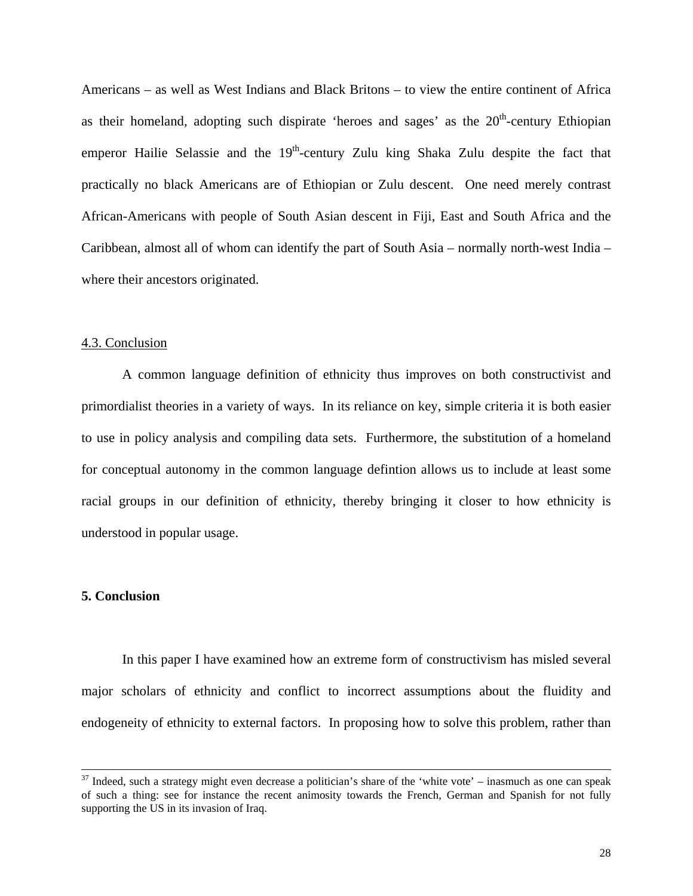Americans – as well as West Indians and Black Britons – to view the entire continent of Africa as their homeland, adopting such dispirate 'heroes and sages' as the  $20<sup>th</sup>$ -century Ethiopian emperor Hailie Selassie and the  $19<sup>th</sup>$ -century Zulu king Shaka Zulu despite the fact that practically no black Americans are of Ethiopian or Zulu descent. One need merely contrast African-Americans with people of South Asian descent in Fiji, East and South Africa and the Caribbean, almost all of whom can identify the part of South Asia – normally north-west India – where their ancestors originated.

#### 4.3. Conclusion

A common language definition of ethnicity thus improves on both constructivist and primordialist theories in a variety of ways. In its reliance on key, simple criteria it is both easier to use in policy analysis and compiling data sets. Furthermore, the substitution of a homeland for conceptual autonomy in the common language defintion allows us to include at least some racial groups in our definition of ethnicity, thereby bringing it closer to how ethnicity is understood in popular usage.

#### **5. Conclusion**

In this paper I have examined how an extreme form of constructivism has misled several major scholars of ethnicity and conflict to incorrect assumptions about the fluidity and endogeneity of ethnicity to external factors. In proposing how to solve this problem, rather than

 $37$  Indeed, such a strategy might even decrease a politician's share of the 'white vote' – inasmuch as one can speak of such a thing: see for instance the recent animosity towards the French, German and Spanish for not fully supporting the US in its invasion of Iraq.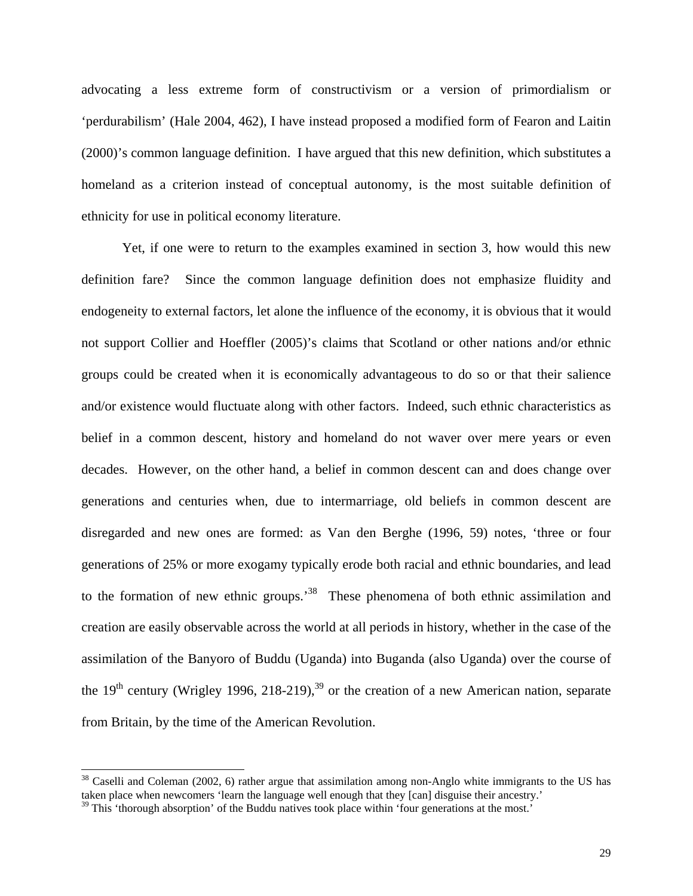advocating a less extreme form of constructivism or a version of primordialism or 'perdurabilism' (Hale 2004, 462), I have instead proposed a modified form of Fearon and Laitin (2000)'s common language definition. I have argued that this new definition, which substitutes a homeland as a criterion instead of conceptual autonomy, is the most suitable definition of ethnicity for use in political economy literature.

Yet, if one were to return to the examples examined in section 3, how would this new definition fare? Since the common language definition does not emphasize fluidity and endogeneity to external factors, let alone the influence of the economy, it is obvious that it would not support Collier and Hoeffler (2005)'s claims that Scotland or other nations and/or ethnic groups could be created when it is economically advantageous to do so or that their salience and/or existence would fluctuate along with other factors. Indeed, such ethnic characteristics as belief in a common descent, history and homeland do not waver over mere years or even decades. However, on the other hand, a belief in common descent can and does change over generations and centuries when, due to intermarriage, old beliefs in common descent are disregarded and new ones are formed: as Van den Berghe (1996, 59) notes, 'three or four generations of 25% or more exogamy typically erode both racial and ethnic boundaries, and lead to the formation of new ethnic groups.<sup>38</sup> These phenomena of both ethnic assimilation and creation are easily observable across the world at all periods in history, whether in the case of the assimilation of the Banyoro of Buddu (Uganda) into Buganda (also Uganda) over the course of the  $19<sup>th</sup>$  century (Wrigley 1996, 218-219),<sup>39</sup> or the creation of a new American nation, separate from Britain, by the time of the American Revolution.

<span id="page-29-0"></span><sup>&</sup>lt;sup>38</sup> Caselli and Coleman (2002, 6) rather argue that assimilation among non-Anglo white immigrants to the US has taken place when newcomers 'learn the language well enough that they [can] disguise their ancestry.'

<span id="page-29-1"></span> $39$  This 'thorough absorption' of the Buddu natives took place within 'four generations at the most.'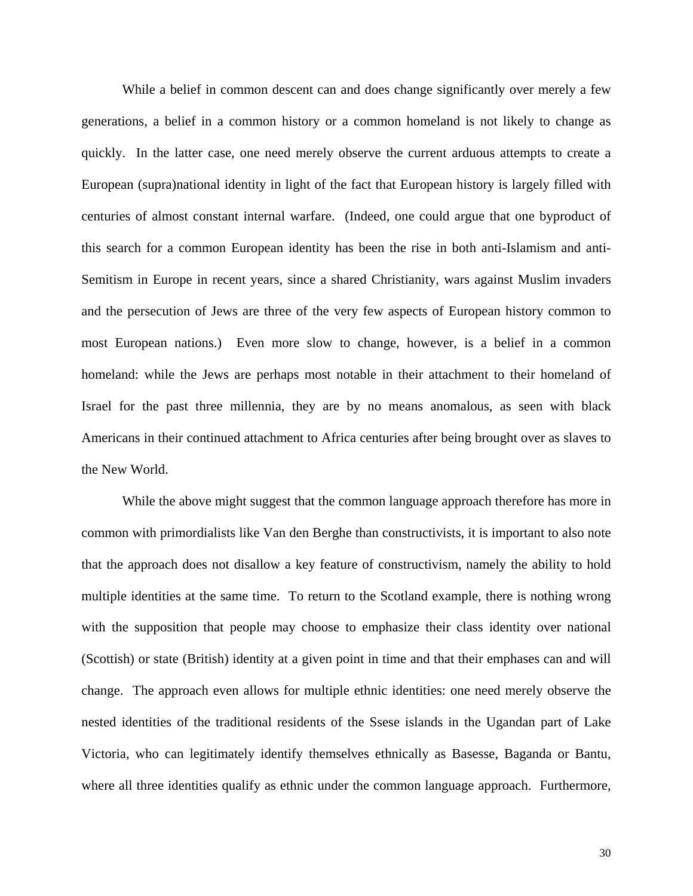While a belief in common descent can and does change significantly over merely a few generations, a belief in a common history or a common homeland is not likely to change as quickly. In the latter case, one need merely observe the current arduous attempts to create a European (supra)national identity in light of the fact that European history is largely filled with centuries of almost constant internal warfare. (Indeed, one could argue that one byproduct of this search for a common European identity has been the rise in both anti-Islamism and anti-Semitism in Europe in recent years, since a shared Christianity, wars against Muslim invaders and the persecution of Jews are three of the very few aspects of European history common to most European nations.) Even more slow to change, however, is a belief in a common homeland: while the Jews are perhaps most notable in their attachment to their homeland of Israel for the past three millennia, they are by no means anomalous, as seen with black Americans in their continued attachment to Africa centuries after being brought over as slaves to the New World.

While the above might suggest that the common language approach therefore has more in common with primordialists like Van den Berghe than constructivists, it is important to also note that the approach does not disallow a key feature of constructivism, namely the ability to hold multiple identities at the same time. To return to the Scotland example, there is nothing wrong with the supposition that people may choose to emphasize their class identity over national (Scottish) or state (British) identity at a given point in time and that their emphases can and will change. The approach even allows for multiple ethnic identities: one need merely observe the nested identities of the traditional residents of the Ssese islands in the Ugandan part of Lake Victoria, who can legitimately identify themselves ethnically as Basesse, Baganda or Bantu, where all three identities qualify as ethnic under the common language approach. Furthermore,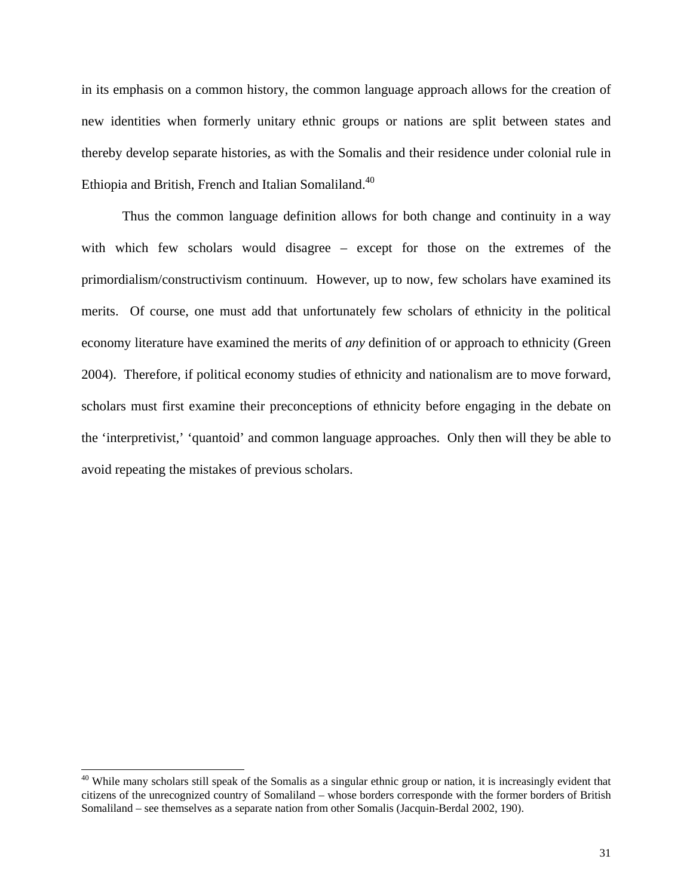in its emphasis on a common history, the common language approach allows for the creation of new identities when formerly unitary ethnic groups or nations are split between states and thereby develop separate histories, as with the Somalis and their residence under colonial rule in Ethiopia and British, French and Italian Somaliland.<sup>[40](#page-31-0)</sup>

Thus the common language definition allows for both change and continuity in a way with which few scholars would disagree – except for those on the extremes of the primordialism/constructivism continuum. However, up to now, few scholars have examined its merits. Of course, one must add that unfortunately few scholars of ethnicity in the political economy literature have examined the merits of *any* definition of or approach to ethnicity (Green 2004). Therefore, if political economy studies of ethnicity and nationalism are to move forward, scholars must first examine their preconceptions of ethnicity before engaging in the debate on the 'interpretivist,' 'quantoid' and common language approaches. Only then will they be able to avoid repeating the mistakes of previous scholars.

<span id="page-31-0"></span> $40$  While many scholars still speak of the Somalis as a singular ethnic group or nation, it is increasingly evident that citizens of the unrecognized country of Somaliland – whose borders corresponde with the former borders of British Somaliland – see themselves as a separate nation from other Somalis (Jacquin-Berdal 2002, 190).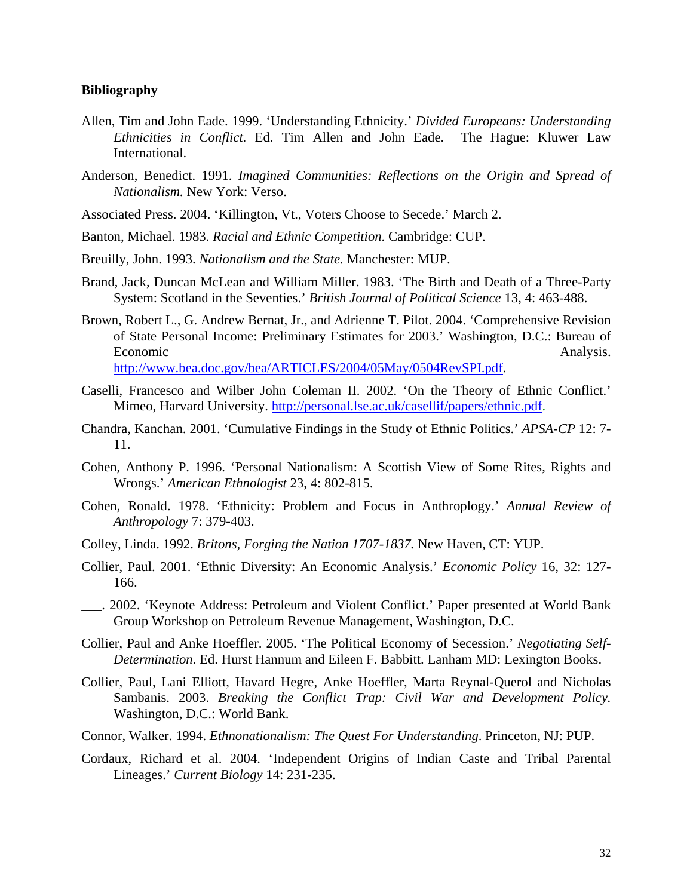#### **Bibliography**

- Allen, Tim and John Eade. 1999. 'Understanding Ethnicity.' *Divided Europeans: Understanding Ethnicities in Conflict.* Ed. Tim Allen and John Eade. The Hague: Kluwer Law International.
- Anderson, Benedict. 1991. *Imagined Communities: Reflections on the Origin and Spread of Nationalism.* New York: Verso.
- Associated Press. 2004. 'Killington, Vt., Voters Choose to Secede.' March 2.
- Banton, Michael. 1983. *Racial and Ethnic Competition*. Cambridge: CUP.
- Breuilly, John. 1993. *Nationalism and the State.* Manchester: MUP.
- Brand, Jack, Duncan McLean and William Miller. 1983. 'The Birth and Death of a Three-Party System: Scotland in the Seventies.' *British Journal of Political Science* 13, 4: 463-488.
- Brown, Robert L., G. Andrew Bernat, Jr., and Adrienne T. Pilot. 2004. 'Comprehensive Revision of State Personal Income: Preliminary Estimates for 2003.' Washington, D.C.: Bureau of Economic Analysis. [http://www.bea.doc.gov/bea/ARTICLES/2004/05May/0504RevSPI.pdf.](http://www.bea.doc.gov/bea/ARTICLES/2004/05May/0504RevSPI.pdf)
- Caselli, Francesco and Wilber John Coleman II. 2002. 'On the Theory of Ethnic Conflict.' Mimeo, Harvard University. <http://personal.lse.ac.uk/casellif/papers/ethnic.pdf>.
- Chandra, Kanchan. 2001. 'Cumulative Findings in the Study of Ethnic Politics.' *APSA-CP* 12: 7- 11.
- Cohen, Anthony P. 1996. 'Personal Nationalism: A Scottish View of Some Rites, Rights and Wrongs.' *American Ethnologist* 23, 4: 802-815.
- Cohen, Ronald. 1978. 'Ethnicity: Problem and Focus in Anthroplogy.' *Annual Review of Anthropology* 7: 379-403.
- Colley, Linda. 1992. *Britons, Forging the Nation 1707-1837.* New Haven, CT: YUP.
- Collier, Paul. 2001. 'Ethnic Diversity: An Economic Analysis.' *Economic Policy* 16, 32: 127- 166.
- \_\_\_. 2002. 'Keynote Address: Petroleum and Violent Conflict.' Paper presented at World Bank Group Workshop on Petroleum Revenue Management, Washington, D.C.
- Collier, Paul and Anke Hoeffler. 2005. 'The Political Economy of Secession.' *Negotiating Self-Determination*. Ed. Hurst Hannum and Eileen F. Babbitt. Lanham MD: Lexington Books.
- Collier, Paul, Lani Elliott, Havard Hegre, Anke Hoeffler, Marta Reynal-Querol and Nicholas Sambanis. 2003. *Breaking the Conflict Trap: Civil War and Development Policy.*  Washington, D.C.: World Bank.
- Connor, Walker. 1994. *Ethnonationalism: The Quest For Understanding*. Princeton, NJ: PUP.
- Cordaux, Richard et al. 2004. 'Independent Origins of Indian Caste and Tribal Parental Lineages.' *Current Biology* 14: 231-235.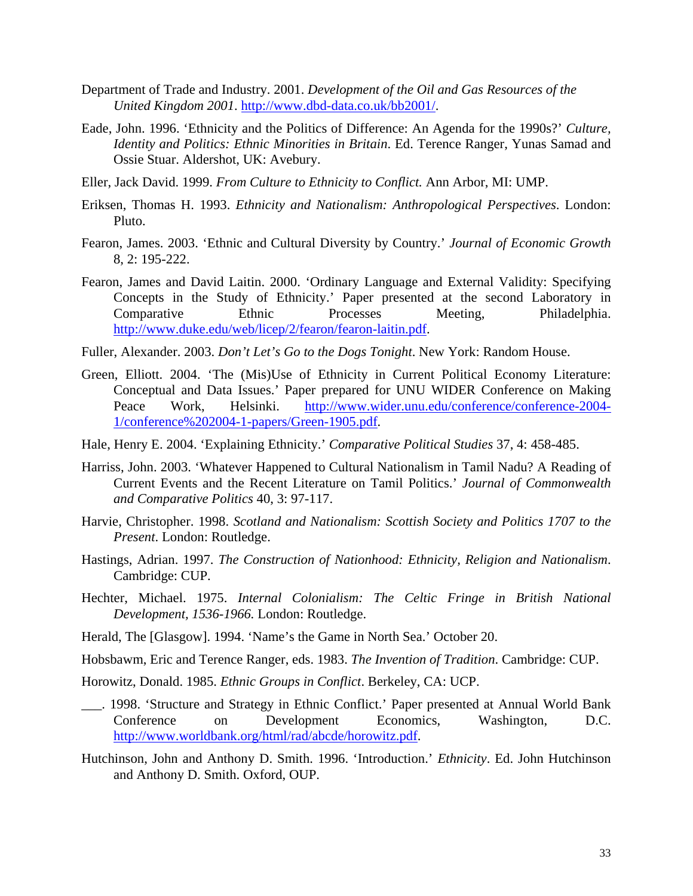- Department of Trade and Industry. 2001. *Development of the Oil and Gas Resources of the United Kingdom 2001*. [http://www.dbd-data.co.uk/bb2001/.](http://www.dbd-data.co.uk/bb2001/)
- Eade, John. 1996. 'Ethnicity and the Politics of Difference: An Agenda for the 1990s?' *Culture, Identity and Politics: Ethnic Minorities in Britain*. Ed. Terence Ranger, Yunas Samad and Ossie Stuar. Aldershot, UK: Avebury.
- Eller, Jack David. 1999. *From Culture to Ethnicity to Conflict.* Ann Arbor, MI: UMP.
- Eriksen, Thomas H. 1993. *Ethnicity and Nationalism: Anthropological Perspectives*. London: Pluto.
- Fearon, James. 2003. 'Ethnic and Cultural Diversity by Country.' *Journal of Economic Growth* 8, 2: 195-222.
- Fearon, James and David Laitin. 2000. 'Ordinary Language and External Validity: Specifying Concepts in the Study of Ethnicity.' Paper presented at the second Laboratory in Comparative Ethnic Processes Meeting, Philadelphia. <http://www.duke.edu/web/licep/2/fearon/fearon-laitin.pdf>.
- Fuller, Alexander. 2003. *Don't Let's Go to the Dogs Tonight*. New York: Random House.
- Green, Elliott. 2004. 'The (Mis)Use of Ethnicity in Current Political Economy Literature: Conceptual and Data Issues.' Paper prepared for UNU WIDER Conference on Making Peace Work, Helsinki. [http://www.wider.unu.edu/conference/conference-2004-](http://www.wider.unu.edu/conference/conference-2004-1/conference 2004-1-papers/Green-1905.pdf) [1/conference%202004-1-papers/Green-1905.pdf.](http://www.wider.unu.edu/conference/conference-2004-1/conference 2004-1-papers/Green-1905.pdf)
- Hale, Henry E. 2004. 'Explaining Ethnicity.' *Comparative Political Studies* 37, 4: 458-485.
- Harriss, John. 2003. 'Whatever Happened to Cultural Nationalism in Tamil Nadu? A Reading of Current Events and the Recent Literature on Tamil Politics.' *Journal of Commonwealth and Comparative Politics* 40, 3: 97-117.
- Harvie, Christopher. 1998. *Scotland and Nationalism: Scottish Society and Politics 1707 to the Present*. London: Routledge.
- Hastings, Adrian. 1997. *The Construction of Nationhood: Ethnicity, Religion and Nationalism*. Cambridge: CUP.
- Hechter, Michael. 1975. *Internal Colonialism: The Celtic Fringe in British National Development, 1536-1966.* London: Routledge.
- Herald, The [Glasgow]. 1994. 'Name's the Game in North Sea.' October 20.
- Hobsbawm, Eric and Terence Ranger, eds. 1983. *The Invention of Tradition*. Cambridge: CUP.
- Horowitz, Donald. 1985. *Ethnic Groups in Conflict*. Berkeley, CA: UCP.
- \_\_\_. 1998. 'Structure and Strategy in Ethnic Conflict.' Paper presented at Annual World Bank Conference on Development Economics, Washington, D.C. [http://www.worldbank.org/html/rad/abcde/horowitz.pdf.](http://www.worldbank.org/html/rad/abcde/horowitz.pdf)
- Hutchinson, John and Anthony D. Smith. 1996. 'Introduction.' *Ethnicity*. Ed. John Hutchinson and Anthony D. Smith. Oxford, OUP.